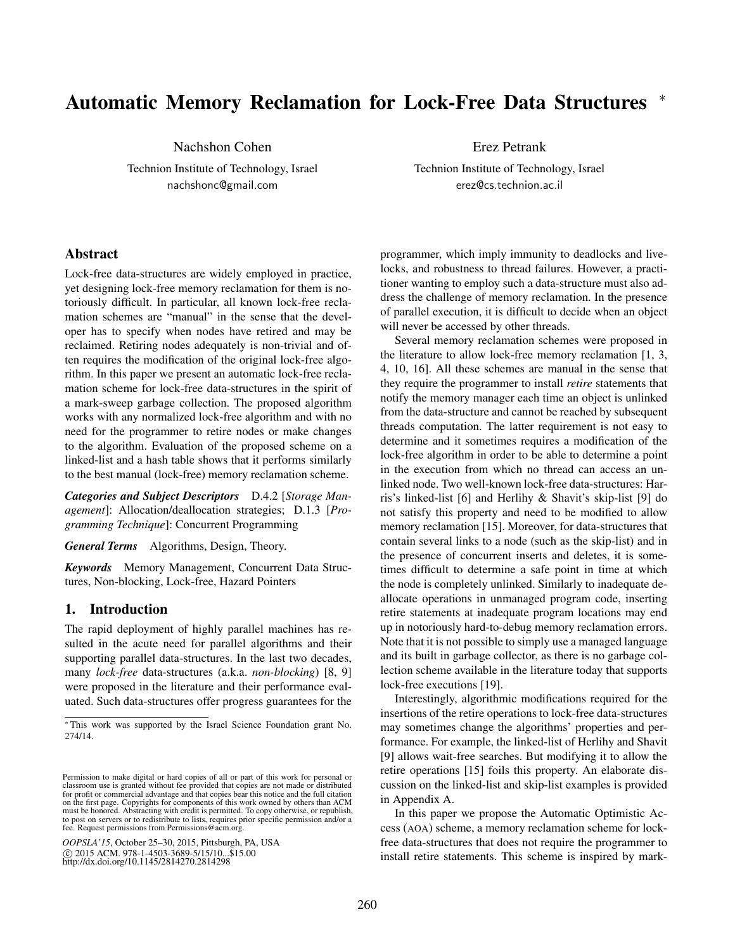# Automatic Memory Reclamation for Lock-Free Data Structures \*

Nachshon Cohen

Technion Institute of Technology, Israel nachshonc@gmail.com

Erez Petrank

Technion Institute of Technology, Israel erez@cs.technion.ac.il

# Abstract

Lock-free data-structures are widely employed in practice, yet designing lock-free memory reclamation for them is notoriously difficult. In particular, all known lock-free reclamation schemes are "manual" in the sense that the developer has to specify when nodes have retired and may be reclaimed. Retiring nodes adequately is non-trivial and often requires the modification of the original lock-free algorithm. In this paper we present an automatic lock-free reclamation scheme for lock-free data-structures in the spirit of a mark-sweep garbage collection. The proposed algorithm works with any normalized lock-free algorithm and with no need for the programmer to retire nodes or make changes to the algorithm. Evaluation of the proposed scheme on a linked-list and a hash table shows that it performs similarly to the best manual (lock-free) memory reclamation scheme.

*Categories and Subject Descriptors* D.4.2 [*Storage Management*]: Allocation/deallocation strategies; D.1.3 [*Programming Technique*]: Concurrent Programming

*General Terms* Algorithms, Design, Theory.

*Keywords* Memory Management, Concurrent Data Structures, Non-blocking, Lock-free, Hazard Pointers

## 1. Introduction

The rapid deployment of highly parallel machines has resulted in the acute need for parallel algorithms and their supporting parallel data-structures. In the last two decades, many *lock-free* data-structures (a.k.a. *non-blocking*) [8, 9] were proposed in the literature and their performance evaluated. Such data-structures offer progress guarantees for the

*OOPSLA'15*, October 25–30, 2015, Pittsburgh, PA, USA c 2015 ACM. 978-1-4503-3689-5/15/10...\$15.00 http://dx.doi.org/10.1145/2814270.2814298

programmer, which imply immunity to deadlocks and livelocks, and robustness to thread failures. However, a practitioner wanting to employ such a data-structure must also address the challenge of memory reclamation. In the presence of parallel execution, it is difficult to decide when an object will never be accessed by other threads.

Several memory reclamation schemes were proposed in the literature to allow lock-free memory reclamation [1, 3, 4, 10, 16]. All these schemes are manual in the sense that they require the programmer to install *retire* statements that notify the memory manager each time an object is unlinked from the data-structure and cannot be reached by subsequent threads computation. The latter requirement is not easy to determine and it sometimes requires a modification of the lock-free algorithm in order to be able to determine a point in the execution from which no thread can access an unlinked node. Two well-known lock-free data-structures: Harris's linked-list [6] and Herlihy & Shavit's skip-list [9] do not satisfy this property and need to be modified to allow memory reclamation [15]. Moreover, for data-structures that contain several links to a node (such as the skip-list) and in the presence of concurrent inserts and deletes, it is sometimes difficult to determine a safe point in time at which the node is completely unlinked. Similarly to inadequate deallocate operations in unmanaged program code, inserting retire statements at inadequate program locations may end up in notoriously hard-to-debug memory reclamation errors. Note that it is not possible to simply use a managed language and its built in garbage collector, as there is no garbage collection scheme available in the literature today that supports lock-free executions [19].

Interestingly, algorithmic modifications required for the insertions of the retire operations to lock-free data-structures may sometimes change the algorithms' properties and performance. For example, the linked-list of Herlihy and Shavit [9] allows wait-free searches. But modifying it to allow the retire operations [15] foils this property. An elaborate discussion on the linked-list and skip-list examples is provided in Appendix A.

In this paper we propose the Automatic Optimistic Access (AOA) scheme, a memory reclamation scheme for lockfree data-structures that does not require the programmer to install retire statements. This scheme is inspired by mark-

<sup>⇤</sup> This work was supported by the Israel Science Foundation grant No. 274/14.

Permission to make digital or hard copies of all or part of this work for personal or classroom use is granted without fee provided that copies are not made or distributed for profit or commercial advantage and that copies bear this notice and the full citation on the first page. Copyrights for components of this work owned by others than ACM must be honored. Abstracting with credit is permitted. To copy otherwise, or republish, to post on servers or to redistribute to lists, requires prior specific permission and/or a fee. Request permissions from Permissions@acm.org.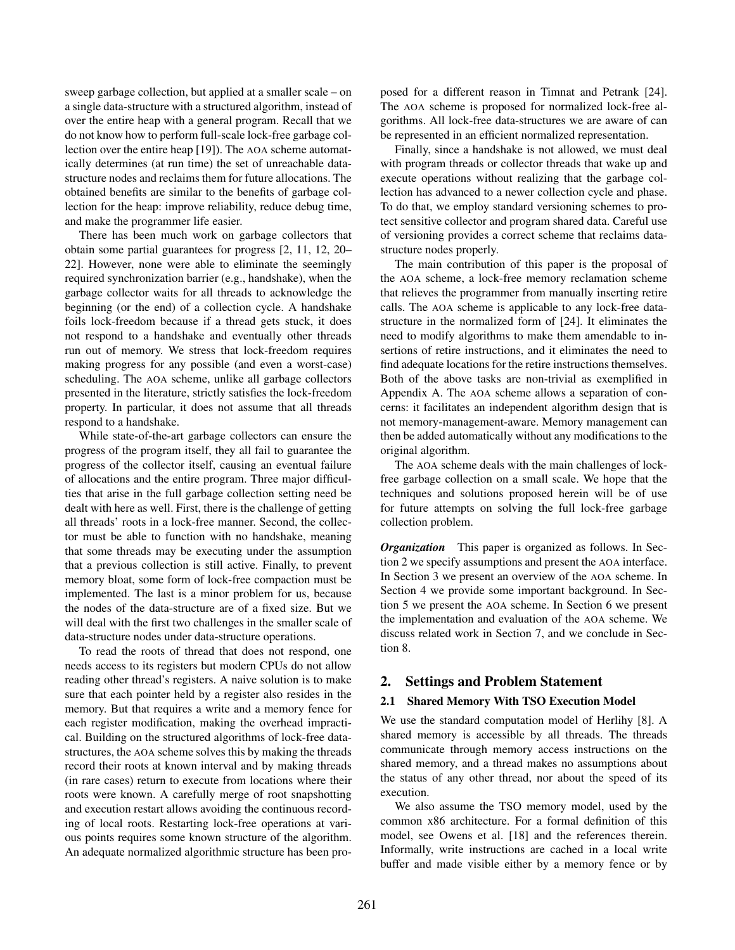sweep garbage collection, but applied at a smaller scale – on a single data-structure with a structured algorithm, instead of over the entire heap with a general program. Recall that we do not know how to perform full-scale lock-free garbage collection over the entire heap [19]). The AOA scheme automatically determines (at run time) the set of unreachable datastructure nodes and reclaims them for future allocations. The obtained benefits are similar to the benefits of garbage collection for the heap: improve reliability, reduce debug time, and make the programmer life easier.

There has been much work on garbage collectors that obtain some partial guarantees for progress [2, 11, 12, 20– 22]. However, none were able to eliminate the seemingly required synchronization barrier (e.g., handshake), when the garbage collector waits for all threads to acknowledge the beginning (or the end) of a collection cycle. A handshake foils lock-freedom because if a thread gets stuck, it does not respond to a handshake and eventually other threads run out of memory. We stress that lock-freedom requires making progress for any possible (and even a worst-case) scheduling. The AOA scheme, unlike all garbage collectors presented in the literature, strictly satisfies the lock-freedom property. In particular, it does not assume that all threads respond to a handshake.

While state-of-the-art garbage collectors can ensure the progress of the program itself, they all fail to guarantee the progress of the collector itself, causing an eventual failure of allocations and the entire program. Three major difficulties that arise in the full garbage collection setting need be dealt with here as well. First, there is the challenge of getting all threads' roots in a lock-free manner. Second, the collector must be able to function with no handshake, meaning that some threads may be executing under the assumption that a previous collection is still active. Finally, to prevent memory bloat, some form of lock-free compaction must be implemented. The last is a minor problem for us, because the nodes of the data-structure are of a fixed size. But we will deal with the first two challenges in the smaller scale of data-structure nodes under data-structure operations.

To read the roots of thread that does not respond, one needs access to its registers but modern CPUs do not allow reading other thread's registers. A naive solution is to make sure that each pointer held by a register also resides in the memory. But that requires a write and a memory fence for each register modification, making the overhead impractical. Building on the structured algorithms of lock-free datastructures, the AOA scheme solves this by making the threads record their roots at known interval and by making threads (in rare cases) return to execute from locations where their roots were known. A carefully merge of root snapshotting and execution restart allows avoiding the continuous recording of local roots. Restarting lock-free operations at various points requires some known structure of the algorithm. An adequate normalized algorithmic structure has been proposed for a different reason in Timnat and Petrank [24]. The AOA scheme is proposed for normalized lock-free algorithms. All lock-free data-structures we are aware of can be represented in an efficient normalized representation.

Finally, since a handshake is not allowed, we must deal with program threads or collector threads that wake up and execute operations without realizing that the garbage collection has advanced to a newer collection cycle and phase. To do that, we employ standard versioning schemes to protect sensitive collector and program shared data. Careful use of versioning provides a correct scheme that reclaims datastructure nodes properly.

The main contribution of this paper is the proposal of the AOA scheme, a lock-free memory reclamation scheme that relieves the programmer from manually inserting retire calls. The AOA scheme is applicable to any lock-free datastructure in the normalized form of [24]. It eliminates the need to modify algorithms to make them amendable to insertions of retire instructions, and it eliminates the need to find adequate locations for the retire instructions themselves. Both of the above tasks are non-trivial as exemplified in Appendix A. The AOA scheme allows a separation of concerns: it facilitates an independent algorithm design that is not memory-management-aware. Memory management can then be added automatically without any modifications to the original algorithm.

The AOA scheme deals with the main challenges of lockfree garbage collection on a small scale. We hope that the techniques and solutions proposed herein will be of use for future attempts on solving the full lock-free garbage collection problem.

*Organization* This paper is organized as follows. In Section 2 we specify assumptions and present the AOA interface. In Section 3 we present an overview of the AOA scheme. In Section 4 we provide some important background. In Section 5 we present the AOA scheme. In Section 6 we present the implementation and evaluation of the AOA scheme. We discuss related work in Section 7, and we conclude in Section 8.

# 2. Settings and Problem Statement

## 2.1 Shared Memory With TSO Execution Model

We use the standard computation model of Herlihy [8]. A shared memory is accessible by all threads. The threads communicate through memory access instructions on the shared memory, and a thread makes no assumptions about the status of any other thread, nor about the speed of its execution.

We also assume the TSO memory model, used by the common x86 architecture. For a formal definition of this model, see Owens et al. [18] and the references therein. Informally, write instructions are cached in a local write buffer and made visible either by a memory fence or by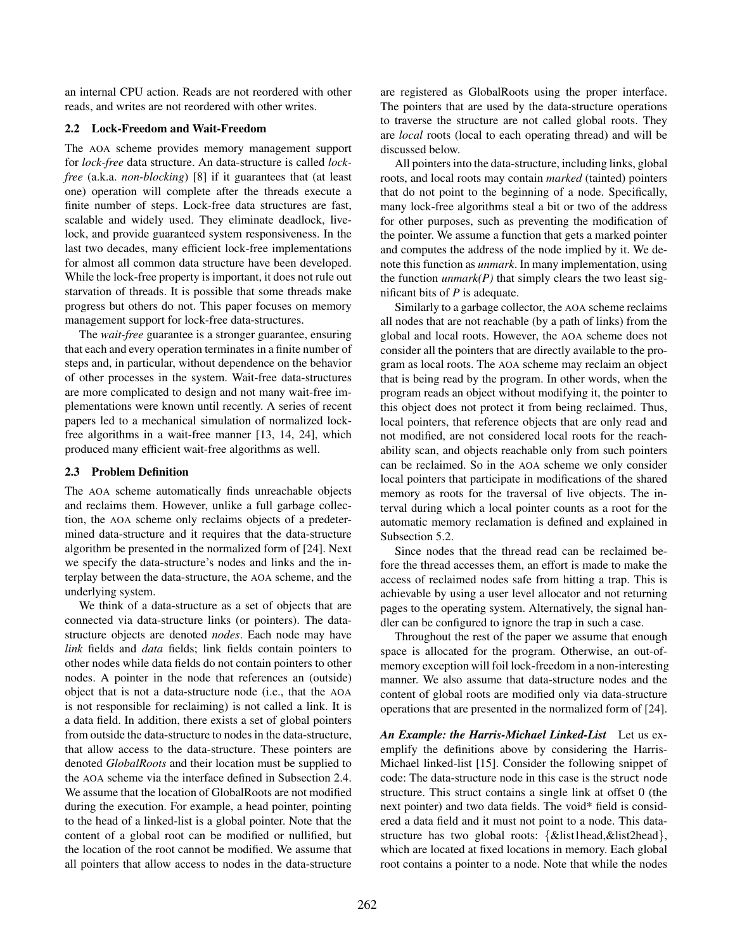an internal CPU action. Reads are not reordered with other reads, and writes are not reordered with other writes.

## 2.2 Lock-Freedom and Wait-Freedom

The AOA scheme provides memory management support for *lock-free* data structure. An data-structure is called *lockfree* (a.k.a. *non-blocking*) [8] if it guarantees that (at least one) operation will complete after the threads execute a finite number of steps. Lock-free data structures are fast, scalable and widely used. They eliminate deadlock, livelock, and provide guaranteed system responsiveness. In the last two decades, many efficient lock-free implementations for almost all common data structure have been developed. While the lock-free property is important, it does not rule out starvation of threads. It is possible that some threads make progress but others do not. This paper focuses on memory management support for lock-free data-structures.

The *wait-free* guarantee is a stronger guarantee, ensuring that each and every operation terminates in a finite number of steps and, in particular, without dependence on the behavior of other processes in the system. Wait-free data-structures are more complicated to design and not many wait-free implementations were known until recently. A series of recent papers led to a mechanical simulation of normalized lockfree algorithms in a wait-free manner [13, 14, 24], which produced many efficient wait-free algorithms as well.

## 2.3 Problem Definition

The AOA scheme automatically finds unreachable objects and reclaims them. However, unlike a full garbage collection, the AOA scheme only reclaims objects of a predetermined data-structure and it requires that the data-structure algorithm be presented in the normalized form of [24]. Next we specify the data-structure's nodes and links and the interplay between the data-structure, the AOA scheme, and the underlying system.

We think of a data-structure as a set of objects that are connected via data-structure links (or pointers). The datastructure objects are denoted *nodes*. Each node may have *link* fields and *data* fields; link fields contain pointers to other nodes while data fields do not contain pointers to other nodes. A pointer in the node that references an (outside) object that is not a data-structure node (i.e., that the AOA is not responsible for reclaiming) is not called a link. It is a data field. In addition, there exists a set of global pointers from outside the data-structure to nodes in the data-structure, that allow access to the data-structure. These pointers are denoted *GlobalRoots* and their location must be supplied to the AOA scheme via the interface defined in Subsection 2.4. We assume that the location of GlobalRoots are not modified during the execution. For example, a head pointer, pointing to the head of a linked-list is a global pointer. Note that the content of a global root can be modified or nullified, but the location of the root cannot be modified. We assume that all pointers that allow access to nodes in the data-structure

are registered as GlobalRoots using the proper interface. The pointers that are used by the data-structure operations to traverse the structure are not called global roots. They are *local* roots (local to each operating thread) and will be discussed below.

All pointers into the data-structure, including links, global roots, and local roots may contain *marked* (tainted) pointers that do not point to the beginning of a node. Specifically, many lock-free algorithms steal a bit or two of the address for other purposes, such as preventing the modification of the pointer. We assume a function that gets a marked pointer and computes the address of the node implied by it. We denote this function as *unmark*. In many implementation, using the function  $\textit{unmark}(P)$  that simply clears the two least significant bits of *P* is adequate.

Similarly to a garbage collector, the AOA scheme reclaims all nodes that are not reachable (by a path of links) from the global and local roots. However, the AOA scheme does not consider all the pointers that are directly available to the program as local roots. The AOA scheme may reclaim an object that is being read by the program. In other words, when the program reads an object without modifying it, the pointer to this object does not protect it from being reclaimed. Thus, local pointers, that reference objects that are only read and not modified, are not considered local roots for the reachability scan, and objects reachable only from such pointers can be reclaimed. So in the AOA scheme we only consider local pointers that participate in modifications of the shared memory as roots for the traversal of live objects. The interval during which a local pointer counts as a root for the automatic memory reclamation is defined and explained in Subsection 5.2.

Since nodes that the thread read can be reclaimed before the thread accesses them, an effort is made to make the access of reclaimed nodes safe from hitting a trap. This is achievable by using a user level allocator and not returning pages to the operating system. Alternatively, the signal handler can be configured to ignore the trap in such a case.

Throughout the rest of the paper we assume that enough space is allocated for the program. Otherwise, an out-ofmemory exception will foil lock-freedom in a non-interesting manner. We also assume that data-structure nodes and the content of global roots are modified only via data-structure operations that are presented in the normalized form of [24].

*An Example: the Harris-Michael Linked-List* Let us exemplify the definitions above by considering the Harris-Michael linked-list [15]. Consider the following snippet of code: The data-structure node in this case is the struct node structure. This struct contains a single link at offset 0 (the next pointer) and two data fields. The void\* field is considered a data field and it must not point to a node. This datastructure has two global roots: *{*&list1head,&list2head*}*, which are located at fixed locations in memory. Each global root contains a pointer to a node. Note that while the nodes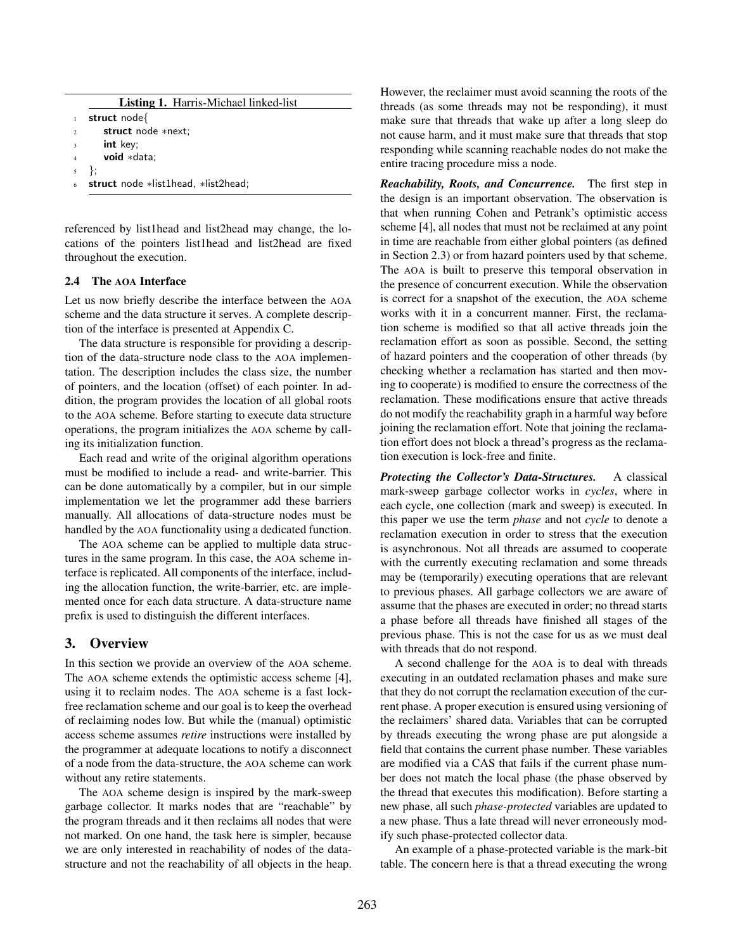|             | <b>Listing 1. Harris-Michael linked-list</b> |
|-------------|----------------------------------------------|
|             | struct node{                                 |
| $2^{\circ}$ | struct node *next:                           |
| $3^{\circ}$ | <b>int</b> key;                              |
| $4^{\circ}$ | void *data:                                  |
|             | $5 \}$                                       |
| 6           | struct node *list1head, *list2head;          |

referenced by list1head and list2head may change, the locations of the pointers list1head and list2head are fixed throughout the execution.

#### 2.4 The AOA Interface

Let us now briefly describe the interface between the AOA scheme and the data structure it serves. A complete description of the interface is presented at Appendix C.

The data structure is responsible for providing a description of the data-structure node class to the AOA implementation. The description includes the class size, the number of pointers, and the location (offset) of each pointer. In addition, the program provides the location of all global roots to the AOA scheme. Before starting to execute data structure operations, the program initializes the AOA scheme by calling its initialization function.

Each read and write of the original algorithm operations must be modified to include a read- and write-barrier. This can be done automatically by a compiler, but in our simple implementation we let the programmer add these barriers manually. All allocations of data-structure nodes must be handled by the AOA functionality using a dedicated function.

The AOA scheme can be applied to multiple data structures in the same program. In this case, the AOA scheme interface is replicated. All components of the interface, including the allocation function, the write-barrier, etc. are implemented once for each data structure. A data-structure name prefix is used to distinguish the different interfaces.

# 3. Overview

In this section we provide an overview of the AOA scheme. The AOA scheme extends the optimistic access scheme [4], using it to reclaim nodes. The AOA scheme is a fast lockfree reclamation scheme and our goal is to keep the overhead of reclaiming nodes low. But while the (manual) optimistic access scheme assumes *retire* instructions were installed by the programmer at adequate locations to notify a disconnect of a node from the data-structure, the AOA scheme can work without any retire statements.

The AOA scheme design is inspired by the mark-sweep garbage collector. It marks nodes that are "reachable" by the program threads and it then reclaims all nodes that were not marked. On one hand, the task here is simpler, because we are only interested in reachability of nodes of the datastructure and not the reachability of all objects in the heap.

However, the reclaimer must avoid scanning the roots of the threads (as some threads may not be responding), it must make sure that threads that wake up after a long sleep do not cause harm, and it must make sure that threads that stop responding while scanning reachable nodes do not make the entire tracing procedure miss a node.

*Reachability, Roots, and Concurrence.* The first step in the design is an important observation. The observation is that when running Cohen and Petrank's optimistic access scheme [4], all nodes that must not be reclaimed at any point in time are reachable from either global pointers (as defined in Section 2.3) or from hazard pointers used by that scheme. The AOA is built to preserve this temporal observation in the presence of concurrent execution. While the observation is correct for a snapshot of the execution, the AOA scheme works with it in a concurrent manner. First, the reclamation scheme is modified so that all active threads join the reclamation effort as soon as possible. Second, the setting of hazard pointers and the cooperation of other threads (by checking whether a reclamation has started and then moving to cooperate) is modified to ensure the correctness of the reclamation. These modifications ensure that active threads do not modify the reachability graph in a harmful way before joining the reclamation effort. Note that joining the reclamation effort does not block a thread's progress as the reclamation execution is lock-free and finite.

*Protecting the Collector's Data-Structures.* A classical mark-sweep garbage collector works in *cycles*, where in each cycle, one collection (mark and sweep) is executed. In this paper we use the term *phase* and not *cycle* to denote a reclamation execution in order to stress that the execution is asynchronous. Not all threads are assumed to cooperate with the currently executing reclamation and some threads may be (temporarily) executing operations that are relevant to previous phases. All garbage collectors we are aware of assume that the phases are executed in order; no thread starts a phase before all threads have finished all stages of the previous phase. This is not the case for us as we must deal with threads that do not respond.

A second challenge for the AOA is to deal with threads executing in an outdated reclamation phases and make sure that they do not corrupt the reclamation execution of the current phase. A proper execution is ensured using versioning of the reclaimers' shared data. Variables that can be corrupted by threads executing the wrong phase are put alongside a field that contains the current phase number. These variables are modified via a CAS that fails if the current phase number does not match the local phase (the phase observed by the thread that executes this modification). Before starting a new phase, all such *phase-protected* variables are updated to a new phase. Thus a late thread will never erroneously modify such phase-protected collector data.

An example of a phase-protected variable is the mark-bit table. The concern here is that a thread executing the wrong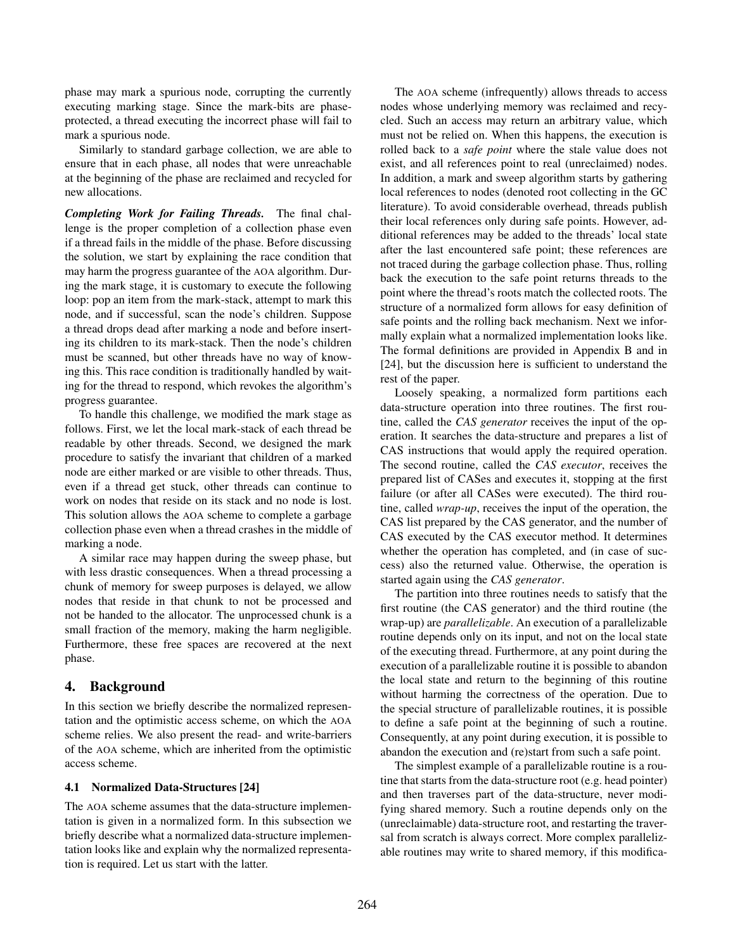phase may mark a spurious node, corrupting the currently executing marking stage. Since the mark-bits are phaseprotected, a thread executing the incorrect phase will fail to mark a spurious node.

Similarly to standard garbage collection, we are able to ensure that in each phase, all nodes that were unreachable at the beginning of the phase are reclaimed and recycled for new allocations.

*Completing Work for Failing Threads.* The final challenge is the proper completion of a collection phase even if a thread fails in the middle of the phase. Before discussing the solution, we start by explaining the race condition that may harm the progress guarantee of the AOA algorithm. During the mark stage, it is customary to execute the following loop: pop an item from the mark-stack, attempt to mark this node, and if successful, scan the node's children. Suppose a thread drops dead after marking a node and before inserting its children to its mark-stack. Then the node's children must be scanned, but other threads have no way of knowing this. This race condition is traditionally handled by waiting for the thread to respond, which revokes the algorithm's progress guarantee.

To handle this challenge, we modified the mark stage as follows. First, we let the local mark-stack of each thread be readable by other threads. Second, we designed the mark procedure to satisfy the invariant that children of a marked node are either marked or are visible to other threads. Thus, even if a thread get stuck, other threads can continue to work on nodes that reside on its stack and no node is lost. This solution allows the AOA scheme to complete a garbage collection phase even when a thread crashes in the middle of marking a node.

A similar race may happen during the sweep phase, but with less drastic consequences. When a thread processing a chunk of memory for sweep purposes is delayed, we allow nodes that reside in that chunk to not be processed and not be handed to the allocator. The unprocessed chunk is a small fraction of the memory, making the harm negligible. Furthermore, these free spaces are recovered at the next phase.

## 4. Background

In this section we briefly describe the normalized representation and the optimistic access scheme, on which the AOA scheme relies. We also present the read- and write-barriers of the AOA scheme, which are inherited from the optimistic access scheme.

#### 4.1 Normalized Data-Structures [24]

The AOA scheme assumes that the data-structure implementation is given in a normalized form. In this subsection we briefly describe what a normalized data-structure implementation looks like and explain why the normalized representation is required. Let us start with the latter.

The AOA scheme (infrequently) allows threads to access nodes whose underlying memory was reclaimed and recycled. Such an access may return an arbitrary value, which must not be relied on. When this happens, the execution is rolled back to a *safe point* where the stale value does not exist, and all references point to real (unreclaimed) nodes. In addition, a mark and sweep algorithm starts by gathering local references to nodes (denoted root collecting in the GC literature). To avoid considerable overhead, threads publish their local references only during safe points. However, additional references may be added to the threads' local state after the last encountered safe point; these references are not traced during the garbage collection phase. Thus, rolling back the execution to the safe point returns threads to the point where the thread's roots match the collected roots. The structure of a normalized form allows for easy definition of safe points and the rolling back mechanism. Next we informally explain what a normalized implementation looks like. The formal definitions are provided in Appendix B and in [24], but the discussion here is sufficient to understand the rest of the paper.

Loosely speaking, a normalized form partitions each data-structure operation into three routines. The first routine, called the *CAS generator* receives the input of the operation. It searches the data-structure and prepares a list of CAS instructions that would apply the required operation. The second routine, called the *CAS executor*, receives the prepared list of CASes and executes it, stopping at the first failure (or after all CASes were executed). The third routine, called *wrap-up*, receives the input of the operation, the CAS list prepared by the CAS generator, and the number of CAS executed by the CAS executor method. It determines whether the operation has completed, and (in case of success) also the returned value. Otherwise, the operation is started again using the *CAS generator*.

The partition into three routines needs to satisfy that the first routine (the CAS generator) and the third routine (the wrap-up) are *parallelizable*. An execution of a parallelizable routine depends only on its input, and not on the local state of the executing thread. Furthermore, at any point during the execution of a parallelizable routine it is possible to abandon the local state and return to the beginning of this routine without harming the correctness of the operation. Due to the special structure of parallelizable routines, it is possible to define a safe point at the beginning of such a routine. Consequently, at any point during execution, it is possible to abandon the execution and (re)start from such a safe point.

The simplest example of a parallelizable routine is a routine that starts from the data-structure root (e.g. head pointer) and then traverses part of the data-structure, never modifying shared memory. Such a routine depends only on the (unreclaimable) data-structure root, and restarting the traversal from scratch is always correct. More complex parallelizable routines may write to shared memory, if this modifica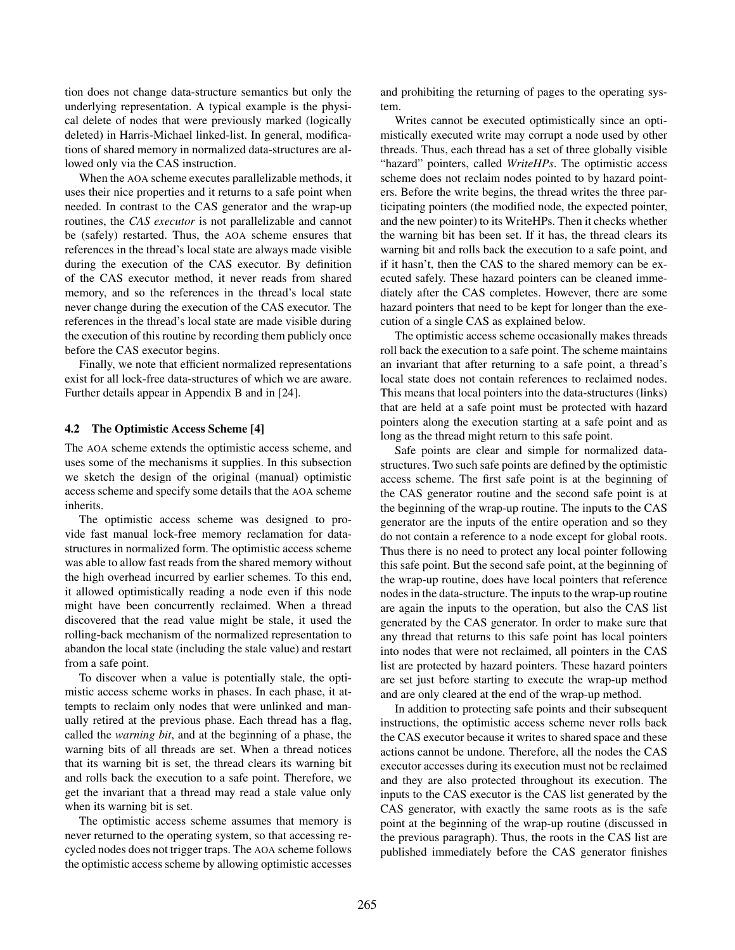tion does not change data-structure semantics but only the underlying representation. A typical example is the physical delete of nodes that were previously marked (logically deleted) in Harris-Michael linked-list. In general, modifications of shared memory in normalized data-structures are allowed only via the CAS instruction.

When the AOA scheme executes parallelizable methods, it uses their nice properties and it returns to a safe point when needed. In contrast to the CAS generator and the wrap-up routines, the *CAS executor* is not parallelizable and cannot be (safely) restarted. Thus, the AOA scheme ensures that references in the thread's local state are always made visible during the execution of the CAS executor. By definition of the CAS executor method, it never reads from shared memory, and so the references in the thread's local state never change during the execution of the CAS executor. The references in the thread's local state are made visible during the execution of this routine by recording them publicly once before the CAS executor begins.

Finally, we note that efficient normalized representations exist for all lock-free data-structures of which we are aware. Further details appear in Appendix B and in [24].

#### 4.2 The Optimistic Access Scheme [4]

The AOA scheme extends the optimistic access scheme, and uses some of the mechanisms it supplies. In this subsection we sketch the design of the original (manual) optimistic access scheme and specify some details that the AOA scheme inherits.

The optimistic access scheme was designed to provide fast manual lock-free memory reclamation for datastructures in normalized form. The optimistic access scheme was able to allow fast reads from the shared memory without the high overhead incurred by earlier schemes. To this end, it allowed optimistically reading a node even if this node might have been concurrently reclaimed. When a thread discovered that the read value might be stale, it used the rolling-back mechanism of the normalized representation to abandon the local state (including the stale value) and restart from a safe point.

To discover when a value is potentially stale, the optimistic access scheme works in phases. In each phase, it attempts to reclaim only nodes that were unlinked and manually retired at the previous phase. Each thread has a flag, called the *warning bit*, and at the beginning of a phase, the warning bits of all threads are set. When a thread notices that its warning bit is set, the thread clears its warning bit and rolls back the execution to a safe point. Therefore, we get the invariant that a thread may read a stale value only when its warning bit is set.

The optimistic access scheme assumes that memory is never returned to the operating system, so that accessing recycled nodes does not trigger traps. The AOA scheme follows the optimistic access scheme by allowing optimistic accesses

and prohibiting the returning of pages to the operating system.

Writes cannot be executed optimistically since an optimistically executed write may corrupt a node used by other threads. Thus, each thread has a set of three globally visible "hazard" pointers, called *WriteHPs*. The optimistic access scheme does not reclaim nodes pointed to by hazard pointers. Before the write begins, the thread writes the three participating pointers (the modified node, the expected pointer, and the new pointer) to its WriteHPs. Then it checks whether the warning bit has been set. If it has, the thread clears its warning bit and rolls back the execution to a safe point, and if it hasn't, then the CAS to the shared memory can be executed safely. These hazard pointers can be cleaned immediately after the CAS completes. However, there are some hazard pointers that need to be kept for longer than the execution of a single CAS as explained below.

The optimistic access scheme occasionally makes threads roll back the execution to a safe point. The scheme maintains an invariant that after returning to a safe point, a thread's local state does not contain references to reclaimed nodes. This means that local pointers into the data-structures (links) that are held at a safe point must be protected with hazard pointers along the execution starting at a safe point and as long as the thread might return to this safe point.

Safe points are clear and simple for normalized datastructures. Two such safe points are defined by the optimistic access scheme. The first safe point is at the beginning of the CAS generator routine and the second safe point is at the beginning of the wrap-up routine. The inputs to the CAS generator are the inputs of the entire operation and so they do not contain a reference to a node except for global roots. Thus there is no need to protect any local pointer following this safe point. But the second safe point, at the beginning of the wrap-up routine, does have local pointers that reference nodes in the data-structure. The inputs to the wrap-up routine are again the inputs to the operation, but also the CAS list generated by the CAS generator. In order to make sure that any thread that returns to this safe point has local pointers into nodes that were not reclaimed, all pointers in the CAS list are protected by hazard pointers. These hazard pointers are set just before starting to execute the wrap-up method and are only cleared at the end of the wrap-up method.

In addition to protecting safe points and their subsequent instructions, the optimistic access scheme never rolls back the CAS executor because it writes to shared space and these actions cannot be undone. Therefore, all the nodes the CAS executor accesses during its execution must not be reclaimed and they are also protected throughout its execution. The inputs to the CAS executor is the CAS list generated by the CAS generator, with exactly the same roots as is the safe point at the beginning of the wrap-up routine (discussed in the previous paragraph). Thus, the roots in the CAS list are published immediately before the CAS generator finishes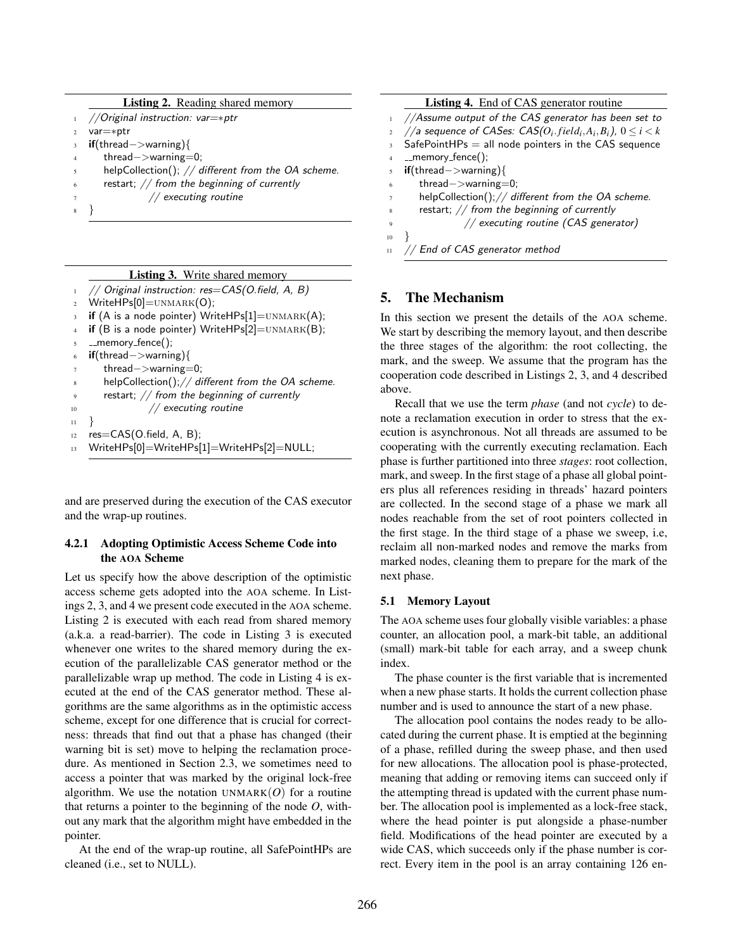|                         | <b>Listing 2.</b> Reading shared memory                        |
|-------------------------|----------------------------------------------------------------|
|                         | //Original instruction: $var=\ast ptr$                         |
| $\mathfrak{D}$          | $var=\ast ptr$                                                 |
| $\overline{\mathbf{3}}$ | $\mathbf{if}(\mathsf{thread}\text{-}\text{-}\mathsf{warming})$ |
| $\overline{4}$          | $thread->warming=0;$                                           |
| 5                       | helpCollection(); $//$ different from the OA scheme.           |
| 6                       | restart; // from the beginning of currently                    |
| 7                       | // executing routine                                           |
|                         |                                                                |

## Listing 3. Write shared memory

```
1 // Original instruction: res=CAS(O.field, A, B)
2 WriteHPs[0]=UNMARK(0);
3 if (A is a node pointer) WriteHPs[1]=UNMARK(A);
4 if (B is a node pointer) WriteHPs[2]=UNMARK(B);
5 memory fence();
6 if(thread>warning){
      thread->warning=0;
      helpCollection();// different from the OA scheme.
      9 restart; // from the beginning of currently
10 // executing routine
11 }
12 res=CAS(O.field, A, B);
13 WriteHPs[0]=WriteHPs[1]=WriteHPs[2]=NULL;
```
and are preserved during the execution of the CAS executor and the wrap-up routines.

#### 4.2.1 Adopting Optimistic Access Scheme Code into the AOA Scheme

Let us specify how the above description of the optimistic access scheme gets adopted into the AOA scheme. In Listings 2, 3, and 4 we present code executed in the AOA scheme. Listing 2 is executed with each read from shared memory (a.k.a. a read-barrier). The code in Listing 3 is executed whenever one writes to the shared memory during the execution of the parallelizable CAS generator method or the parallelizable wrap up method. The code in Listing 4 is executed at the end of the CAS generator method. These algorithms are the same algorithms as in the optimistic access scheme, except for one difference that is crucial for correctness: threads that find out that a phase has changed (their warning bit is set) move to helping the reclamation procedure. As mentioned in Section 2.3, we sometimes need to access a pointer that was marked by the original lock-free algorithm. We use the notation UNMARK $(O)$  for a routine that returns a pointer to the beginning of the node *O*, without any mark that the algorithm might have embedded in the pointer.

At the end of the wrap-up routine, all SafePointHPs are cleaned (i.e., set to NULL).

Listing 4. End of CAS generator routine

- <sup>1</sup> *//Assume output of the CAS generator has been set to* 2 //a sequence of CASes:  $CAS(O_i-field_i, A_i, B_i), 0 \leq i < k$
- $S$ afe $P$ oint $HPs =$  all node pointers in the CAS sequence
- 4 \_\_memory\_fence();
- <sup>5</sup> if(thread*>*warning)*{*
- thread->warning=0;
- helpCollection();// different from the OA scheme.
- <sup>8</sup> restart; *// from the beginning of currently*
	- <sup>9</sup> *// executing routine (CAS generator)*
- <sup>10</sup> *}*

```
11 // End of CAS generator method
```
## 5. The Mechanism

In this section we present the details of the AOA scheme. We start by describing the memory layout, and then describe the three stages of the algorithm: the root collecting, the mark, and the sweep. We assume that the program has the cooperation code described in Listings 2, 3, and 4 described above.

Recall that we use the term *phase* (and not *cycle*) to denote a reclamation execution in order to stress that the execution is asynchronous. Not all threads are assumed to be cooperating with the currently executing reclamation. Each phase is further partitioned into three *stages*: root collection, mark, and sweep. In the first stage of a phase all global pointers plus all references residing in threads' hazard pointers are collected. In the second stage of a phase we mark all nodes reachable from the set of root pointers collected in the first stage. In the third stage of a phase we sweep, i.e, reclaim all non-marked nodes and remove the marks from marked nodes, cleaning them to prepare for the mark of the next phase.

#### 5.1 Memory Layout

The AOA scheme uses four globally visible variables: a phase counter, an allocation pool, a mark-bit table, an additional (small) mark-bit table for each array, and a sweep chunk index.

The phase counter is the first variable that is incremented when a new phase starts. It holds the current collection phase number and is used to announce the start of a new phase.

The allocation pool contains the nodes ready to be allocated during the current phase. It is emptied at the beginning of a phase, refilled during the sweep phase, and then used for new allocations. The allocation pool is phase-protected, meaning that adding or removing items can succeed only if the attempting thread is updated with the current phase number. The allocation pool is implemented as a lock-free stack, where the head pointer is put alongside a phase-number field. Modifications of the head pointer are executed by a wide CAS, which succeeds only if the phase number is correct. Every item in the pool is an array containing 126 en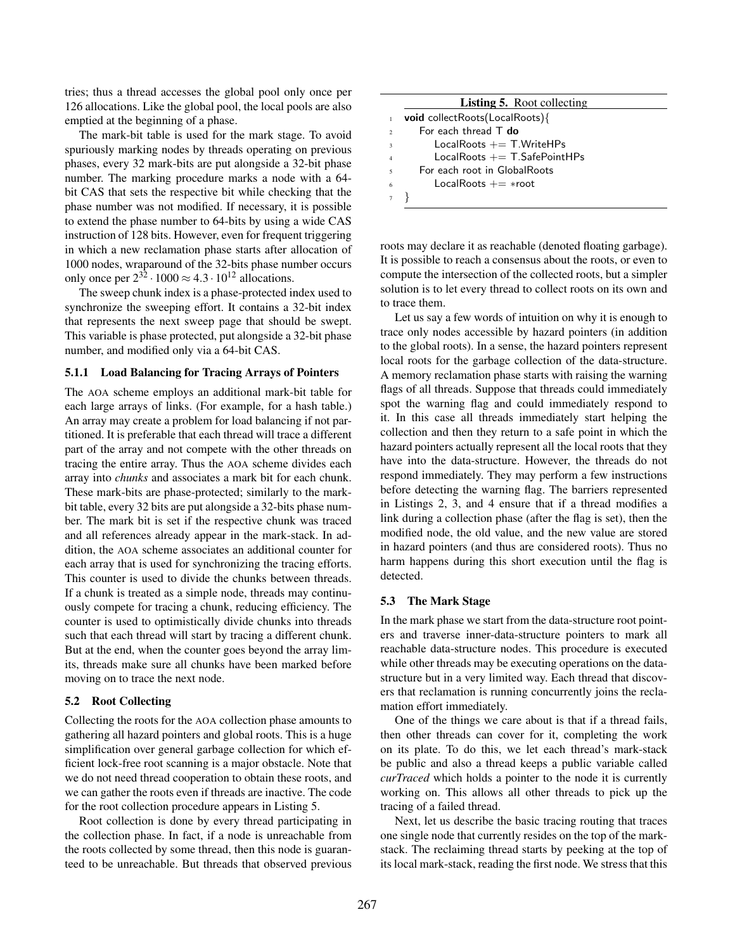tries; thus a thread accesses the global pool only once per 126 allocations. Like the global pool, the local pools are also emptied at the beginning of a phase.

The mark-bit table is used for the mark stage. To avoid spuriously marking nodes by threads operating on previous phases, every 32 mark-bits are put alongside a 32-bit phase number. The marking procedure marks a node with a 64 bit CAS that sets the respective bit while checking that the phase number was not modified. If necessary, it is possible to extend the phase number to 64-bits by using a wide CAS instruction of 128 bits. However, even for frequent triggering in which a new reclamation phase starts after allocation of 1000 nodes, wraparound of the 32-bits phase number occurs only once per  $2^{32} \cdot 1000 \approx 4.3 \cdot 10^{12}$  allocations.

The sweep chunk index is a phase-protected index used to synchronize the sweeping effort. It contains a 32-bit index that represents the next sweep page that should be swept. This variable is phase protected, put alongside a 32-bit phase number, and modified only via a 64-bit CAS.

#### 5.1.1 Load Balancing for Tracing Arrays of Pointers

The AOA scheme employs an additional mark-bit table for each large arrays of links. (For example, for a hash table.) An array may create a problem for load balancing if not partitioned. It is preferable that each thread will trace a different part of the array and not compete with the other threads on tracing the entire array. Thus the AOA scheme divides each array into *chunks* and associates a mark bit for each chunk. These mark-bits are phase-protected; similarly to the markbit table, every 32 bits are put alongside a 32-bits phase number. The mark bit is set if the respective chunk was traced and all references already appear in the mark-stack. In addition, the AOA scheme associates an additional counter for each array that is used for synchronizing the tracing efforts. This counter is used to divide the chunks between threads. If a chunk is treated as a simple node, threads may continuously compete for tracing a chunk, reducing efficiency. The counter is used to optimistically divide chunks into threads such that each thread will start by tracing a different chunk. But at the end, when the counter goes beyond the array limits, threads make sure all chunks have been marked before moving on to trace the next node.

#### 5.2 Root Collecting

Collecting the roots for the AOA collection phase amounts to gathering all hazard pointers and global roots. This is a huge simplification over general garbage collection for which efficient lock-free root scanning is a major obstacle. Note that we do not need thread cooperation to obtain these roots, and we can gather the roots even if threads are inactive. The code for the root collection procedure appears in Listing 5.

Root collection is done by every thread participating in the collection phase. In fact, if a node is unreachable from the roots collected by some thread, then this node is guaranteed to be unreachable. But threads that observed previous

|                         | <b>Listing 5.</b> Root collecting |
|-------------------------|-----------------------------------|
|                         | void collectRoots(LocalRoots){    |
| $\mathfrak{D}$          | For each thread $T$ do            |
| $\overline{\mathbf{3}}$ | LocalRoots $+=$ T. Write HPs      |
| $\overline{4}$          | LocalRoots $+=$ T.SafePointHPs    |
| $\overline{5}$          | For each root in GlobalRoots      |
| 6                       | LocalRoots $+=$ *root             |
|                         |                                   |

roots may declare it as reachable (denoted floating garbage). It is possible to reach a consensus about the roots, or even to compute the intersection of the collected roots, but a simpler solution is to let every thread to collect roots on its own and to trace them.

Let us say a few words of intuition on why it is enough to trace only nodes accessible by hazard pointers (in addition to the global roots). In a sense, the hazard pointers represent local roots for the garbage collection of the data-structure. A memory reclamation phase starts with raising the warning flags of all threads. Suppose that threads could immediately spot the warning flag and could immediately respond to it. In this case all threads immediately start helping the collection and then they return to a safe point in which the hazard pointers actually represent all the local roots that they have into the data-structure. However, the threads do not respond immediately. They may perform a few instructions before detecting the warning flag. The barriers represented in Listings 2, 3, and 4 ensure that if a thread modifies a link during a collection phase (after the flag is set), then the modified node, the old value, and the new value are stored in hazard pointers (and thus are considered roots). Thus no harm happens during this short execution until the flag is detected.

#### 5.3 The Mark Stage

In the mark phase we start from the data-structure root pointers and traverse inner-data-structure pointers to mark all reachable data-structure nodes. This procedure is executed while other threads may be executing operations on the datastructure but in a very limited way. Each thread that discovers that reclamation is running concurrently joins the reclamation effort immediately.

One of the things we care about is that if a thread fails, then other threads can cover for it, completing the work on its plate. To do this, we let each thread's mark-stack be public and also a thread keeps a public variable called *curTraced* which holds a pointer to the node it is currently working on. This allows all other threads to pick up the tracing of a failed thread.

Next, let us describe the basic tracing routing that traces one single node that currently resides on the top of the markstack. The reclaiming thread starts by peeking at the top of its local mark-stack, reading the first node. We stress that this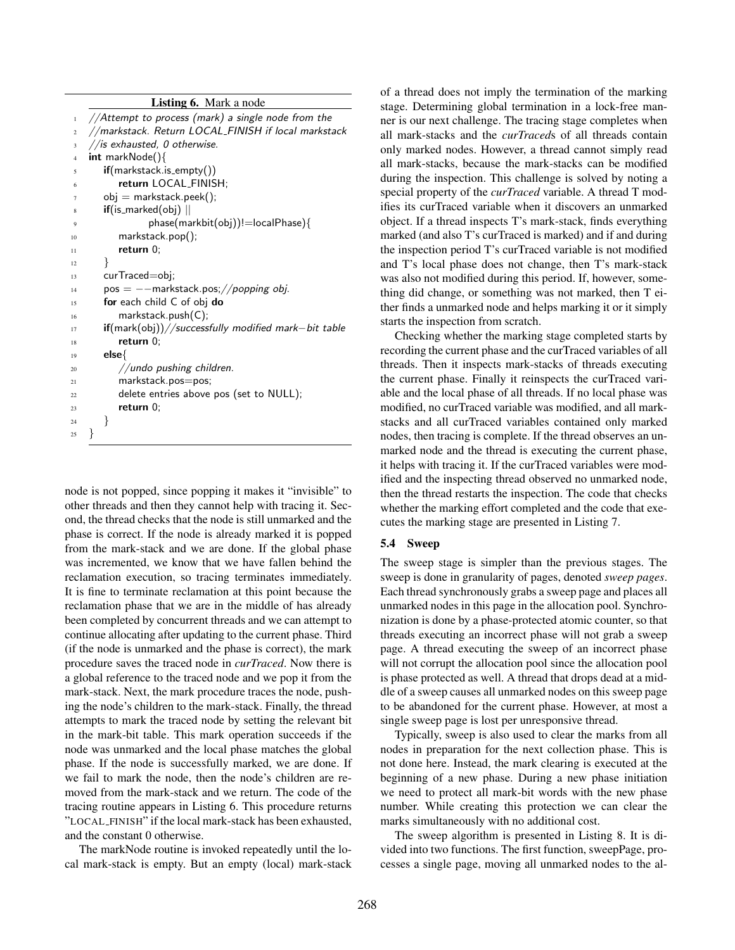## Listing 6. Mark a node

| $\,1\,$        | //Attempt to process (mark) a single node from the                      |
|----------------|-------------------------------------------------------------------------|
| $\overline{2}$ | //markstack. Return LOCAL_FINISH if local markstack                     |
| 3              | //is exhausted, 0 otherwise.                                            |
| $\overline{4}$ | int markNode(){                                                         |
| 5              | $if(markstack.is-empty())$                                              |
| 6              | return LOCAL_FINISH;                                                    |
| 7              | $obj = markstrack, peek();$                                             |
| 8              | $if($ is_marked(obj) $\vert\vert$                                       |
| 9              | phase(markbit(obj))!=localPhase){                                       |
| 10             | $markstack.pop()$ ;                                                     |
| 11             | return $0$ ;                                                            |
| 12             | ł                                                                       |
| 13             | curTraced=obj;                                                          |
| 14             | $pos = -$ markstack.pos; //popping obj.                                 |
| 15             | for each child C of obj do                                              |
| 16             | markstack.push(C);                                                      |
| 17             | $\mathbf{if}(\text{mark(obj)}) // successfully modified mark-bit table$ |
| 18             | return $0$ :                                                            |
| 19             | $else{$                                                                 |
| 20             | //undo pushing children.                                                |
| 21             | markstack.pos=pos;                                                      |
| 22             | delete entries above pos (set to NULL);                                 |
| 23             | return $0$ ;                                                            |
| 24             | }                                                                       |
| 25             | ł                                                                       |

node is not popped, since popping it makes it "invisible" to other threads and then they cannot help with tracing it. Second, the thread checks that the node is still unmarked and the phase is correct. If the node is already marked it is popped from the mark-stack and we are done. If the global phase was incremented, we know that we have fallen behind the reclamation execution, so tracing terminates immediately. It is fine to terminate reclamation at this point because the reclamation phase that we are in the middle of has already been completed by concurrent threads and we can attempt to continue allocating after updating to the current phase. Third (if the node is unmarked and the phase is correct), the mark procedure saves the traced node in *curTraced*. Now there is a global reference to the traced node and we pop it from the mark-stack. Next, the mark procedure traces the node, pushing the node's children to the mark-stack. Finally, the thread attempts to mark the traced node by setting the relevant bit in the mark-bit table. This mark operation succeeds if the node was unmarked and the local phase matches the global phase. If the node is successfully marked, we are done. If we fail to mark the node, then the node's children are removed from the mark-stack and we return. The code of the tracing routine appears in Listing 6. This procedure returns "LOCAL FINISH" if the local mark-stack has been exhausted, and the constant 0 otherwise.

The markNode routine is invoked repeatedly until the local mark-stack is empty. But an empty (local) mark-stack of a thread does not imply the termination of the marking stage. Determining global termination in a lock-free manner is our next challenge. The tracing stage completes when all mark-stacks and the *curTraced*s of all threads contain only marked nodes. However, a thread cannot simply read all mark-stacks, because the mark-stacks can be modified during the inspection. This challenge is solved by noting a special property of the *curTraced* variable. A thread T modifies its curTraced variable when it discovers an unmarked object. If a thread inspects T's mark-stack, finds everything marked (and also T's curTraced is marked) and if and during the inspection period T's curTraced variable is not modified and T's local phase does not change, then T's mark-stack was also not modified during this period. If, however, something did change, or something was not marked, then T either finds a unmarked node and helps marking it or it simply starts the inspection from scratch.

Checking whether the marking stage completed starts by recording the current phase and the curTraced variables of all threads. Then it inspects mark-stacks of threads executing the current phase. Finally it reinspects the curTraced variable and the local phase of all threads. If no local phase was modified, no curTraced variable was modified, and all markstacks and all curTraced variables contained only marked nodes, then tracing is complete. If the thread observes an unmarked node and the thread is executing the current phase, it helps with tracing it. If the curTraced variables were modified and the inspecting thread observed no unmarked node, then the thread restarts the inspection. The code that checks whether the marking effort completed and the code that executes the marking stage are presented in Listing 7.

#### 5.4 Sweep

The sweep stage is simpler than the previous stages. The sweep is done in granularity of pages, denoted *sweep pages*. Each thread synchronously grabs a sweep page and places all unmarked nodes in this page in the allocation pool. Synchronization is done by a phase-protected atomic counter, so that threads executing an incorrect phase will not grab a sweep page. A thread executing the sweep of an incorrect phase will not corrupt the allocation pool since the allocation pool is phase protected as well. A thread that drops dead at a middle of a sweep causes all unmarked nodes on this sweep page to be abandoned for the current phase. However, at most a single sweep page is lost per unresponsive thread.

Typically, sweep is also used to clear the marks from all nodes in preparation for the next collection phase. This is not done here. Instead, the mark clearing is executed at the beginning of a new phase. During a new phase initiation we need to protect all mark-bit words with the new phase number. While creating this protection we can clear the marks simultaneously with no additional cost.

The sweep algorithm is presented in Listing 8. It is divided into two functions. The first function, sweepPage, processes a single page, moving all unmarked nodes to the al-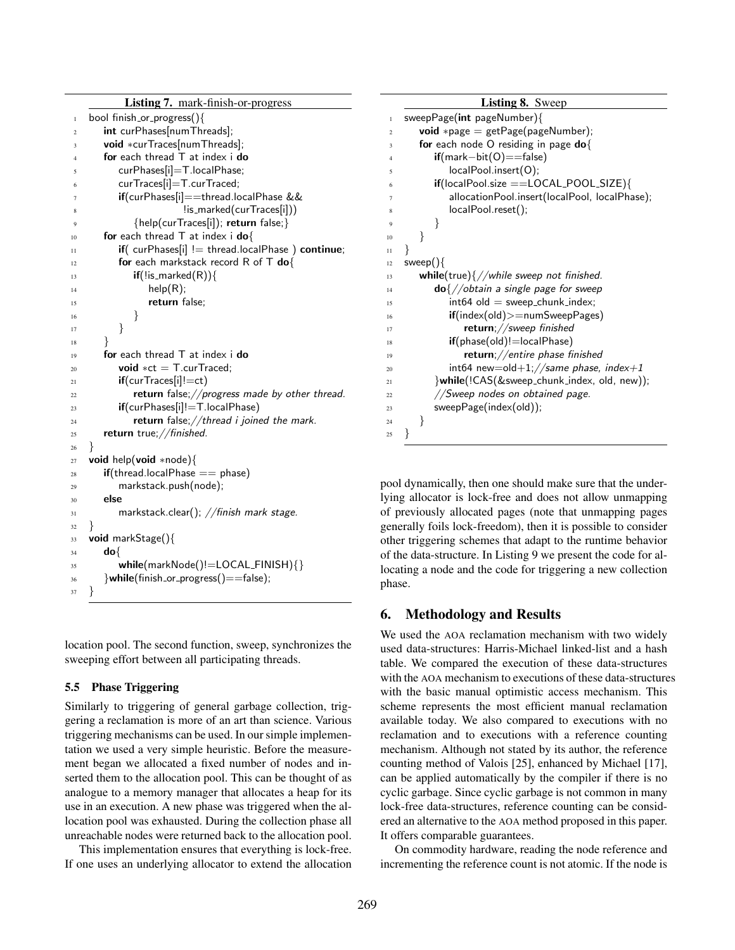|                | <b>Listing 7.</b> mark-finish-or-progress                       |
|----------------|-----------------------------------------------------------------|
| $\mathbf{1}$   | bool finish_or_progress(){                                      |
| $\overline{2}$ | int curPhases[numThreads];                                      |
| 3              | void *curTraces[numThreads];                                    |
| Δ              | for each thread $T$ at index $\mathbf i$ do                     |
|                | curPhases[i]=T.localPhase;                                      |
| 6              | curTraces[i]=T.curTraced;                                       |
| 7              | if(curPhases[i]==thread.localPhase &&                           |
| 8              | !is_marked(curTraces[i]))                                       |
| 9              | {help(curTraces[i]); return false;}                             |
| 10             | for each thread $T$ at index i do{                              |
| 11             | $if($ curPhases[i] $!=$ thread.localPhase $)$ continue;         |
| 12             | for each markstack record R of T do{                            |
| 13             | $\mathbf{if}(\text{!is\_marked}(R))$                            |
| 14             | help(R);                                                        |
| 15             | return false;                                                   |
| 16             | }                                                               |
| 17             | $\}$                                                            |
| 18             | $\mathbf{r}$                                                    |
| 19             | for each thread $\top$ at index i do                            |
| 20             | <b>void</b> $*ct = T.curTraced:$                                |
| 21             | $if$ (cur $Traces[i]!=ct$ )                                     |
| 22             | return false;//progress made by other thread.                   |
| 23             | if(curPhases[i]!=T.localPhase)                                  |
| 24             | return false; //thread i joined the mark.                       |
| 25             | return true;//finished.                                         |
| 26             | ł                                                               |
| 27             | <b>void</b> help( <b>void</b> *node){                           |
| 28             | $\textbf{if}(\text{thread.} \text{localPhase} == \text{phase})$ |
| 29             | markstack.push(node);<br>else                                   |
| 30             |                                                                 |
| 31             | markstack.clear(); $//$ finish mark stage.                      |
| 32             | ł<br>$void$ markStage(){                                        |
| 33             | do{                                                             |
| 34             | while(markNode()!=LOCAL_FINISH){}                               |
| 35<br>36       | }while(finish_or_progress()==false);                            |
| 37             | ł                                                               |
|                |                                                                 |

location pool. The second function, sweep, synchronizes the sweeping effort between all participating threads.

## 5.5 Phase Triggering

Similarly to triggering of general garbage collection, triggering a reclamation is more of an art than science. Various triggering mechanisms can be used. In our simple implementation we used a very simple heuristic. Before the measurement began we allocated a fixed number of nodes and inserted them to the allocation pool. This can be thought of as analogue to a memory manager that allocates a heap for its use in an execution. A new phase was triggered when the allocation pool was exhausted. During the collection phase all unreachable nodes were returned back to the allocation pool.

This implementation ensures that everything is lock-free. If one uses an underlying allocator to extend the allocation

|                | <b>Listing 8.</b> Sweep                                |
|----------------|--------------------------------------------------------|
| $\mathbf{1}$   | sweepPage(int pageNumber){                             |
| $\overline{c}$ | <b>void</b> *page = $getPage(pageNumber);$             |
| 3              | for each node O residing in page $do\{$                |
| $\overline{4}$ | $if(maxk-bit(O)==false)$                               |
| 5              | localPool.insert(O);                                   |
| 6              | if(localPool.size ==LOCAL_POOL_SIZE){                  |
| 7              | allocationPool.insert(localPool, localPhase);          |
| 8              | localPool.reset();                                     |
| 9              | }                                                      |
| 10             | ł                                                      |
| 11             | ł                                                      |
| 12             | sweep $()$                                             |
| 13             | while(true) $\frac{1}{2}$ //while sweep not finished.  |
| 14             | $\text{do} \frac{1}{2}$ obtain a single page for sweep |
| 15             | $int64$ old = sweep_chunk_index;                       |
| 16             | $if(index(old) >= numSweepPage)$                       |
| 17             | $return$ ;//sweep finished                             |
| 18             | $if(phase(old)! = localPhase)$                         |
| 19             | return;//entire phase finished                         |
| 20             | $int64$ new=old $+1$ ;//same phase, index $+1$         |
| 21             | }while(!CAS(&sweep_chunk_index, old, new));            |
| 22             | //Sweep nodes on obtained page.                        |
| 23             | sweepPage(index(old));                                 |
| 24             | }                                                      |
| 25             | ł                                                      |

pool dynamically, then one should make sure that the underlying allocator is lock-free and does not allow unmapping of previously allocated pages (note that unmapping pages generally foils lock-freedom), then it is possible to consider other triggering schemes that adapt to the runtime behavior of the data-structure. In Listing 9 we present the code for allocating a node and the code for triggering a new collection phase.

# 6. Methodology and Results

We used the AOA reclamation mechanism with two widely used data-structures: Harris-Michael linked-list and a hash table. We compared the execution of these data-structures with the AOA mechanism to executions of these data-structures with the basic manual optimistic access mechanism. This scheme represents the most efficient manual reclamation available today. We also compared to executions with no reclamation and to executions with a reference counting mechanism. Although not stated by its author, the reference counting method of Valois [25], enhanced by Michael [17], can be applied automatically by the compiler if there is no cyclic garbage. Since cyclic garbage is not common in many lock-free data-structures, reference counting can be considered an alternative to the AOA method proposed in this paper. It offers comparable guarantees.

On commodity hardware, reading the node reference and incrementing the reference count is not atomic. If the node is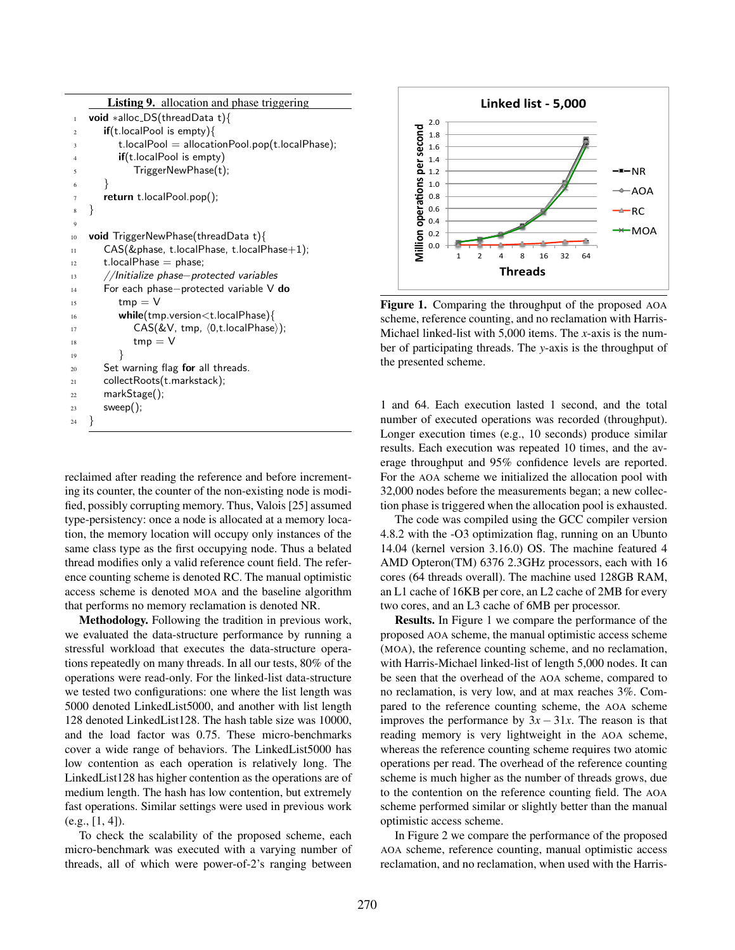|              | <b>Listing 9.</b> allocation and phase triggering             |
|--------------|---------------------------------------------------------------|
| $\mathbf{1}$ | <b>void</b> *alloc_DS(threadData t){                          |
| 2            | $\mathbf{if}$ (t.localPool is empty){                         |
| 3            | $t$ .localPool = allocationPool.pop( $t$ .localPhase);        |
| 4            | $if(t.$ localPool is empty)                                   |
| 5            | TriggerNewPhase(t);                                           |
| 6            | ł                                                             |
| 7            | return t. local Pool.pop();                                   |
| 8            | $\mathcal{F}$                                                 |
| 9            |                                                               |
| 10           | <b>void</b> TriggerNewPhase(threadData t){                    |
| 11           | CAS(&phase, t.localPhase, t.localPhase+1);                    |
| 12           | t.local $Phase = phase$ ;                                     |
| 13           | //Initialize phase-protected variables                        |
| 14           | For each phase-protected variable $V$ do                      |
| 15           | $tmp = V$                                                     |
| 16           | $while$ (tmp.version $lt$ t.localPhase){                      |
| 17           | $CAS(&V, \text{tmp}, \langle 0, t.\text{localPhase}\rangle);$ |
| 18           | $tmp = V$                                                     |
| 19           | ł                                                             |
| 20           | Set warning flag for all threads.                             |
| 21           | collectRoots(t.markstack);                                    |
| 22           | markStage();                                                  |
| 23           | $s$ weep $()$ ;                                               |
| 24           | ł                                                             |
|              |                                                               |

reclaimed after reading the reference and before incrementing its counter, the counter of the non-existing node is modified, possibly corrupting memory. Thus, Valois [25] assumed type-persistency: once a node is allocated at a memory location, the memory location will occupy only instances of the same class type as the first occupying node. Thus a belated thread modifies only a valid reference count field. The reference counting scheme is denoted RC. The manual optimistic access scheme is denoted MOA and the baseline algorithm that performs no memory reclamation is denoted NR.

Methodology. Following the tradition in previous work, we evaluated the data-structure performance by running a stressful workload that executes the data-structure operations repeatedly on many threads. In all our tests, 80% of the operations were read-only. For the linked-list data-structure we tested two configurations: one where the list length was 5000 denoted LinkedList5000, and another with list length 128 denoted LinkedList128. The hash table size was 10000, and the load factor was 0.75. These micro-benchmarks cover a wide range of behaviors. The LinkedList5000 has low contention as each operation is relatively long. The LinkedList128 has higher contention as the operations are of medium length. The hash has low contention, but extremely fast operations. Similar settings were used in previous work  $(e.g., [1, 4]).$ 

To check the scalability of the proposed scheme, each micro-benchmark was executed with a varying number of threads, all of which were power-of-2's ranging between



Figure 1. Comparing the throughput of the proposed AOA scheme, reference counting, and no reclamation with Harris-Michael linked-list with 5,000 items. The *x*-axis is the number of participating threads. The *y*-axis is the throughput of the presented scheme.

1 and 64. Each execution lasted 1 second, and the total number of executed operations was recorded (throughput). Longer execution times (e.g., 10 seconds) produce similar results. Each execution was repeated 10 times, and the average throughput and 95% confidence levels are reported. For the AOA scheme we initialized the allocation pool with 32,000 nodes before the measurements began; a new collection phase is triggered when the allocation pool is exhausted.

The code was compiled using the GCC compiler version 4.8.2 with the -O3 optimization flag, running on an Ubunto 14.04 (kernel version 3.16.0) OS. The machine featured 4 AMD Opteron(TM) 6376 2.3GHz processors, each with 16 cores (64 threads overall). The machine used 128GB RAM, an L1 cache of 16KB per core, an L2 cache of 2MB for every two cores, and an L3 cache of 6MB per processor.

Results. In Figure 1 we compare the performance of the proposed AOA scheme, the manual optimistic access scheme (MOA), the reference counting scheme, and no reclamation, with Harris-Michael linked-list of length 5,000 nodes. It can be seen that the overhead of the AOA scheme, compared to no reclamation, is very low, and at max reaches 3%. Compared to the reference counting scheme, the AOA scheme improves the performance by  $3x - 31x$ . The reason is that reading memory is very lightweight in the AOA scheme, whereas the reference counting scheme requires two atomic operations per read. The overhead of the reference counting scheme is much higher as the number of threads grows, due to the contention on the reference counting field. The AOA scheme performed similar or slightly better than the manual optimistic access scheme.

In Figure 2 we compare the performance of the proposed AOA scheme, reference counting, manual optimistic access reclamation, and no reclamation, when used with the Harris-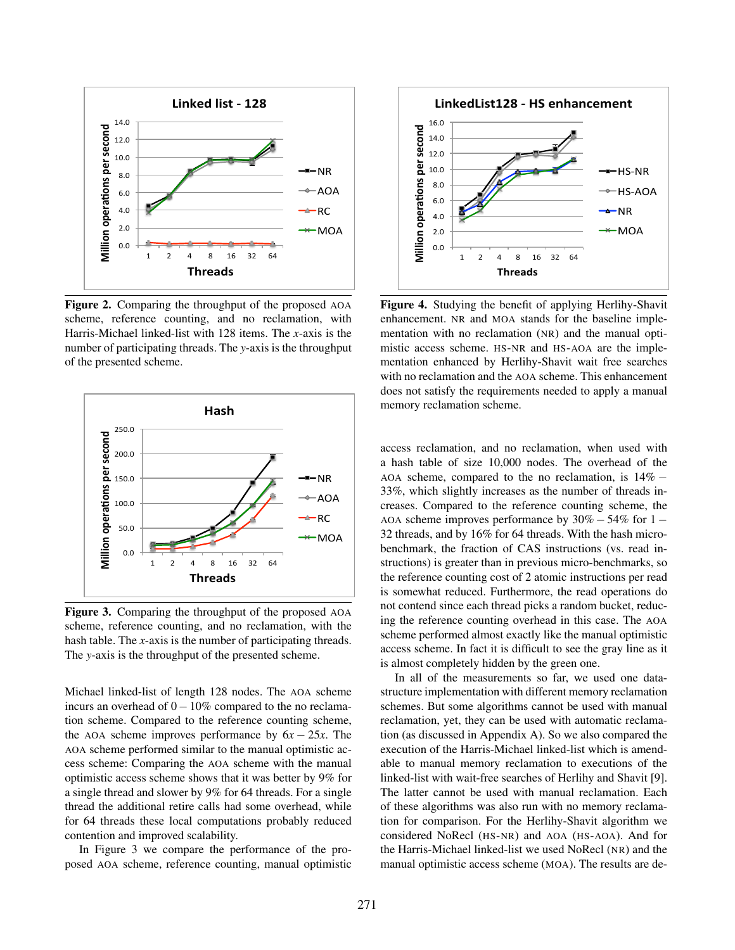

Figure 2. Comparing the throughput of the proposed AOA scheme, reference counting, and no reclamation, with Harris-Michael linked-list with 128 items. The *x*-axis is the number of participating threads. The *y*-axis is the throughput of the presented scheme.



Figure 3. Comparing the throughput of the proposed AOA scheme, reference counting, and no reclamation, with the hash table. The *x*-axis is the number of participating threads. The *y*-axis is the throughput of the presented scheme.

Michael linked-list of length 128 nodes. The AOA scheme incurs an overhead of  $0-10\%$  compared to the no reclamation scheme. Compared to the reference counting scheme, the AOA scheme improves performance by  $6x - 25x$ . The AOA scheme performed similar to the manual optimistic access scheme: Comparing the AOA scheme with the manual optimistic access scheme shows that it was better by 9% for a single thread and slower by 9% for 64 threads. For a single thread the additional retire calls had some overhead, while for 64 threads these local computations probably reduced contention and improved scalability.

In Figure 3 we compare the performance of the proposed AOA scheme, reference counting, manual optimistic



Figure 4. Studying the benefit of applying Herlihy-Shavit enhancement. NR and MOA stands for the baseline implementation with no reclamation (NR) and the manual optimistic access scheme. HS-NR and HS-AOA are the implementation enhanced by Herlihy-Shavit wait free searches with no reclamation and the AOA scheme. This enhancement does not satisfy the requirements needed to apply a manual memory reclamation scheme.

access reclamation, and no reclamation, when used with a hash table of size 10,000 nodes. The overhead of the AOA scheme, compared to the no reclamation, is  $14\%$  -33%, which slightly increases as the number of threads increases. Compared to the reference counting scheme, the AOA scheme improves performance by  $30\% - 54\%$  for  $1 -$ 32 threads, and by 16% for 64 threads. With the hash microbenchmark, the fraction of CAS instructions (vs. read instructions) is greater than in previous micro-benchmarks, so the reference counting cost of 2 atomic instructions per read is somewhat reduced. Furthermore, the read operations do not contend since each thread picks a random bucket, reducing the reference counting overhead in this case. The AOA scheme performed almost exactly like the manual optimistic access scheme. In fact it is difficult to see the gray line as it is almost completely hidden by the green one.

In all of the measurements so far, we used one datastructure implementation with different memory reclamation schemes. But some algorithms cannot be used with manual reclamation, yet, they can be used with automatic reclamation (as discussed in Appendix A). So we also compared the execution of the Harris-Michael linked-list which is amendable to manual memory reclamation to executions of the linked-list with wait-free searches of Herlihy and Shavit [9]. The latter cannot be used with manual reclamation. Each of these algorithms was also run with no memory reclamation for comparison. For the Herlihy-Shavit algorithm we considered NoRecl (HS-NR) and AOA (HS-AOA). And for the Harris-Michael linked-list we used NoRecl (NR) and the manual optimistic access scheme (MOA). The results are de-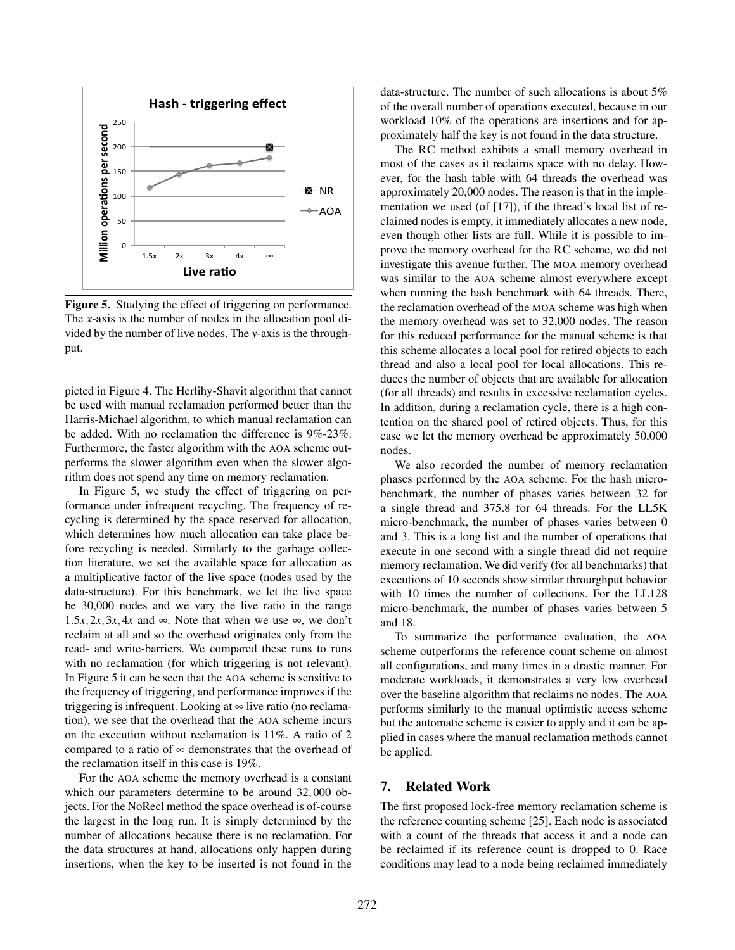

Figure 5. Studying the effect of triggering on performance. The *x*-axis is the number of nodes in the allocation pool divided by the number of live nodes. The *y*-axis is the throughput.

picted in Figure 4. The Herlihy-Shavit algorithm that cannot be used with manual reclamation performed better than the Harris-Michael algorithm, to which manual reclamation can be added. With no reclamation the difference is 9%-23%. Furthermore, the faster algorithm with the AOA scheme outperforms the slower algorithm even when the slower algorithm does not spend any time on memory reclamation.

In Figure 5, we study the effect of triggering on performance under infrequent recycling. The frequency of recycling is determined by the space reserved for allocation, which determines how much allocation can take place before recycling is needed. Similarly to the garbage collection literature, we set the available space for allocation as a multiplicative factor of the live space (nodes used by the data-structure). For this benchmark, we let the live space be 30,000 nodes and we vary the live ratio in the range 1.5*x*, 2*x*, 3*x*, 4*x* and  $\infty$ . Note that when we use  $\infty$ , we don't reclaim at all and so the overhead originates only from the read- and write-barriers. We compared these runs to runs with no reclamation (for which triggering is not relevant). In Figure 5 it can be seen that the AOA scheme is sensitive to the frequency of triggering, and performance improves if the triggering is infrequent. Looking at  $\infty$  live ratio (no reclamation), we see that the overhead that the AOA scheme incurs on the execution without reclamation is 11%. A ratio of 2 compared to a ratio of  $\infty$  demonstrates that the overhead of the reclamation itself in this case is 19%.

For the AOA scheme the memory overhead is a constant which our parameters determine to be around 32*,*000 objects. For the NoRecl method the space overhead is of-course the largest in the long run. It is simply determined by the number of allocations because there is no reclamation. For the data structures at hand, allocations only happen during insertions, when the key to be inserted is not found in the

data-structure. The number of such allocations is about 5% of the overall number of operations executed, because in our workload 10% of the operations are insertions and for approximately half the key is not found in the data structure.

The RC method exhibits a small memory overhead in most of the cases as it reclaims space with no delay. However, for the hash table with 64 threads the overhead was approximately 20,000 nodes. The reason is that in the implementation we used (of [17]), if the thread's local list of reclaimed nodes is empty, it immediately allocates a new node, even though other lists are full. While it is possible to improve the memory overhead for the RC scheme, we did not investigate this avenue further. The MOA memory overhead was similar to the AOA scheme almost everywhere except when running the hash benchmark with 64 threads. There, the reclamation overhead of the MOA scheme was high when the memory overhead was set to 32,000 nodes. The reason for this reduced performance for the manual scheme is that this scheme allocates a local pool for retired objects to each thread and also a local pool for local allocations. This reduces the number of objects that are available for allocation (for all threads) and results in excessive reclamation cycles. In addition, during a reclamation cycle, there is a high contention on the shared pool of retired objects. Thus, for this case we let the memory overhead be approximately 50,000 nodes.

We also recorded the number of memory reclamation phases performed by the AOA scheme. For the hash microbenchmark, the number of phases varies between 32 for a single thread and 375.8 for 64 threads. For the LL5K micro-benchmark, the number of phases varies between 0 and 3. This is a long list and the number of operations that execute in one second with a single thread did not require memory reclamation. We did verify (for all benchmarks) that executions of 10 seconds show similar throurghput behavior with 10 times the number of collections. For the LL128 micro-benchmark, the number of phases varies between 5 and 18.

To summarize the performance evaluation, the AOA scheme outperforms the reference count scheme on almost all configurations, and many times in a drastic manner. For moderate workloads, it demonstrates a very low overhead over the baseline algorithm that reclaims no nodes. The AOA performs similarly to the manual optimistic access scheme but the automatic scheme is easier to apply and it can be applied in cases where the manual reclamation methods cannot be applied.

# 7. Related Work

The first proposed lock-free memory reclamation scheme is the reference counting scheme [25]. Each node is associated with a count of the threads that access it and a node can be reclaimed if its reference count is dropped to 0. Race conditions may lead to a node being reclaimed immediately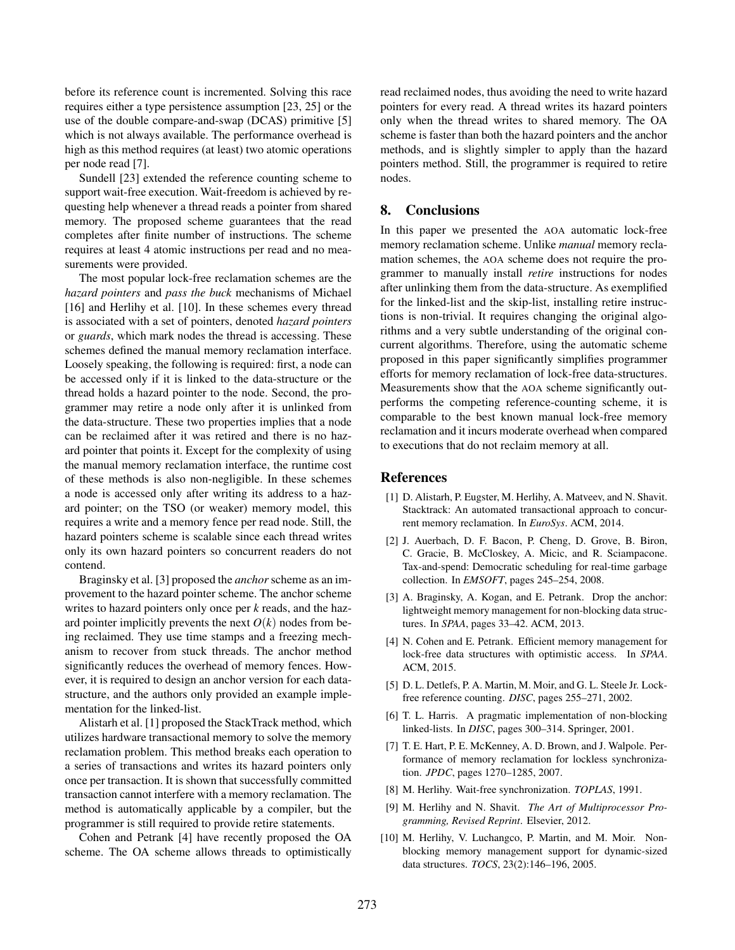before its reference count is incremented. Solving this race requires either a type persistence assumption [23, 25] or the use of the double compare-and-swap (DCAS) primitive [5] which is not always available. The performance overhead is high as this method requires (at least) two atomic operations per node read [7].

Sundell [23] extended the reference counting scheme to support wait-free execution. Wait-freedom is achieved by requesting help whenever a thread reads a pointer from shared memory. The proposed scheme guarantees that the read completes after finite number of instructions. The scheme requires at least 4 atomic instructions per read and no measurements were provided.

The most popular lock-free reclamation schemes are the *hazard pointers* and *pass the buck* mechanisms of Michael [16] and Herlihy et al. [10]. In these schemes every thread is associated with a set of pointers, denoted *hazard pointers* or *guards*, which mark nodes the thread is accessing. These schemes defined the manual memory reclamation interface. Loosely speaking, the following is required: first, a node can be accessed only if it is linked to the data-structure or the thread holds a hazard pointer to the node. Second, the programmer may retire a node only after it is unlinked from the data-structure. These two properties implies that a node can be reclaimed after it was retired and there is no hazard pointer that points it. Except for the complexity of using the manual memory reclamation interface, the runtime cost of these methods is also non-negligible. In these schemes a node is accessed only after writing its address to a hazard pointer; on the TSO (or weaker) memory model, this requires a write and a memory fence per read node. Still, the hazard pointers scheme is scalable since each thread writes only its own hazard pointers so concurrent readers do not contend.

Braginsky et al. [3] proposed the *anchor* scheme as an improvement to the hazard pointer scheme. The anchor scheme writes to hazard pointers only once per *k* reads, and the hazard pointer implicitly prevents the next  $O(k)$  nodes from being reclaimed. They use time stamps and a freezing mechanism to recover from stuck threads. The anchor method significantly reduces the overhead of memory fences. However, it is required to design an anchor version for each datastructure, and the authors only provided an example implementation for the linked-list.

Alistarh et al. [1] proposed the StackTrack method, which utilizes hardware transactional memory to solve the memory reclamation problem. This method breaks each operation to a series of transactions and writes its hazard pointers only once per transaction. It is shown that successfully committed transaction cannot interfere with a memory reclamation. The method is automatically applicable by a compiler, but the programmer is still required to provide retire statements.

Cohen and Petrank [4] have recently proposed the OA scheme. The OA scheme allows threads to optimistically read reclaimed nodes, thus avoiding the need to write hazard pointers for every read. A thread writes its hazard pointers only when the thread writes to shared memory. The OA scheme is faster than both the hazard pointers and the anchor methods, and is slightly simpler to apply than the hazard pointers method. Still, the programmer is required to retire nodes.

# 8. Conclusions

In this paper we presented the AOA automatic lock-free memory reclamation scheme. Unlike *manual* memory reclamation schemes, the AOA scheme does not require the programmer to manually install *retire* instructions for nodes after unlinking them from the data-structure. As exemplified for the linked-list and the skip-list, installing retire instructions is non-trivial. It requires changing the original algorithms and a very subtle understanding of the original concurrent algorithms. Therefore, using the automatic scheme proposed in this paper significantly simplifies programmer efforts for memory reclamation of lock-free data-structures. Measurements show that the AOA scheme significantly outperforms the competing reference-counting scheme, it is comparable to the best known manual lock-free memory reclamation and it incurs moderate overhead when compared to executions that do not reclaim memory at all.

#### References

- [1] D. Alistarh, P. Eugster, M. Herlihy, A. Matveev, and N. Shavit. Stacktrack: An automated transactional approach to concurrent memory reclamation. In *EuroSys*. ACM, 2014.
- [2] J. Auerbach, D. F. Bacon, P. Cheng, D. Grove, B. Biron, C. Gracie, B. McCloskey, A. Micic, and R. Sciampacone. Tax-and-spend: Democratic scheduling for real-time garbage collection. In *EMSOFT*, pages 245–254, 2008.
- [3] A. Braginsky, A. Kogan, and E. Petrank. Drop the anchor: lightweight memory management for non-blocking data structures. In *SPAA*, pages 33–42. ACM, 2013.
- [4] N. Cohen and E. Petrank. Efficient memory management for lock-free data structures with optimistic access. In *SPAA*. ACM, 2015.
- [5] D. L. Detlefs, P. A. Martin, M. Moir, and G. L. Steele Jr. Lockfree reference counting. *DISC*, pages 255–271, 2002.
- [6] T. L. Harris. A pragmatic implementation of non-blocking linked-lists. In *DISC*, pages 300–314. Springer, 2001.
- [7] T. E. Hart, P. E. McKenney, A. D. Brown, and J. Walpole. Performance of memory reclamation for lockless synchronization. *JPDC*, pages 1270–1285, 2007.
- [8] M. Herlihy. Wait-free synchronization. *TOPLAS*, 1991.
- [9] M. Herlihy and N. Shavit. *The Art of Multiprocessor Programming, Revised Reprint*. Elsevier, 2012.
- [10] M. Herlihy, V. Luchangco, P. Martin, and M. Moir. Nonblocking memory management support for dynamic-sized data structures. *TOCS*, 23(2):146–196, 2005.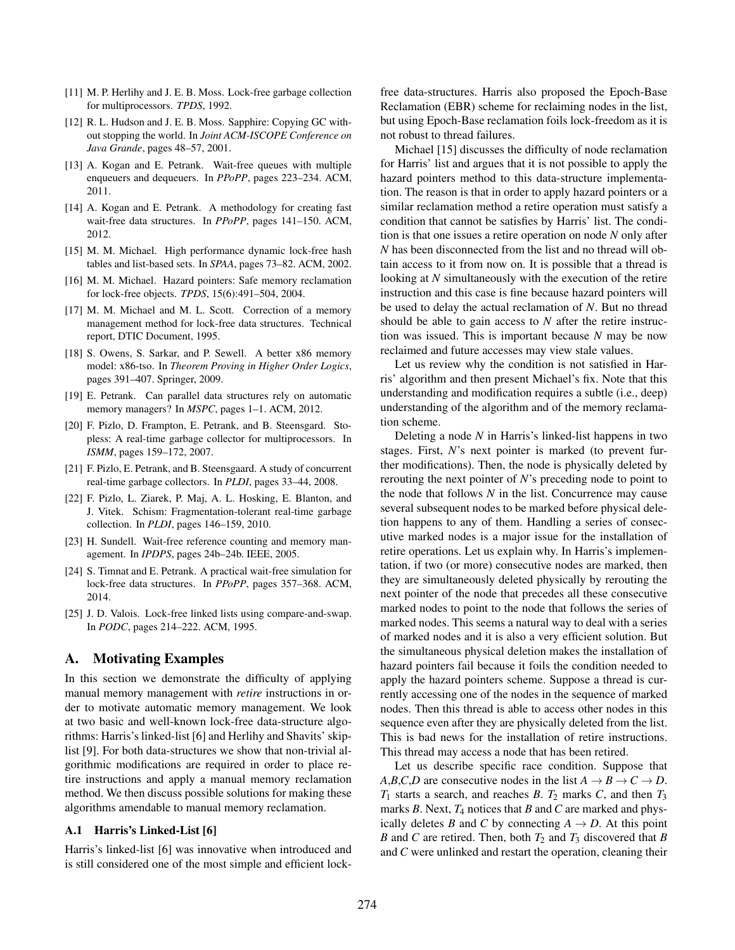- [11] M. P. Herlihy and J. E. B. Moss. Lock-free garbage collection for multiprocessors. *TPDS*, 1992.
- [12] R. L. Hudson and J. E. B. Moss. Sapphire: Copying GC without stopping the world. In *Joint ACM-ISCOPE Conference on Java Grande*, pages 48–57, 2001.
- [13] A. Kogan and E. Petrank. Wait-free queues with multiple enqueuers and dequeuers. In *PPoPP*, pages 223–234. ACM, 2011.
- [14] A. Kogan and E. Petrank. A methodology for creating fast wait-free data structures. In *PPoPP*, pages 141–150. ACM, 2012.
- [15] M. M. Michael. High performance dynamic lock-free hash tables and list-based sets. In *SPAA*, pages 73–82. ACM, 2002.
- [16] M. M. Michael. Hazard pointers: Safe memory reclamation for lock-free objects. *TPDS*, 15(6):491–504, 2004.
- [17] M. M. Michael and M. L. Scott. Correction of a memory management method for lock-free data structures. Technical report, DTIC Document, 1995.
- [18] S. Owens, S. Sarkar, and P. Sewell. A better x86 memory model: x86-tso. In *Theorem Proving in Higher Order Logics*, pages 391–407. Springer, 2009.
- [19] E. Petrank. Can parallel data structures rely on automatic memory managers? In *MSPC*, pages 1–1. ACM, 2012.
- [20] F. Pizlo, D. Frampton, E. Petrank, and B. Steensgard. Stopless: A real-time garbage collector for multiprocessors. In *ISMM*, pages 159–172, 2007.
- [21] F. Pizlo, E. Petrank, and B. Steensgaard. A study of concurrent real-time garbage collectors. In *PLDI*, pages 33–44, 2008.
- [22] F. Pizlo, L. Ziarek, P. Maj, A. L. Hosking, E. Blanton, and J. Vitek. Schism: Fragmentation-tolerant real-time garbage collection. In *PLDI*, pages 146–159, 2010.
- [23] H. Sundell. Wait-free reference counting and memory management. In *IPDPS*, pages 24b–24b. IEEE, 2005.
- [24] S. Timnat and E. Petrank. A practical wait-free simulation for lock-free data structures. In *PPoPP*, pages 357–368. ACM, 2014.
- [25] J. D. Valois. Lock-free linked lists using compare-and-swap. In *PODC*, pages 214–222. ACM, 1995.

# A. Motivating Examples

In this section we demonstrate the difficulty of applying manual memory management with *retire* instructions in order to motivate automatic memory management. We look at two basic and well-known lock-free data-structure algorithms: Harris's linked-list [6] and Herlihy and Shavits' skiplist [9]. For both data-structures we show that non-trivial algorithmic modifications are required in order to place retire instructions and apply a manual memory reclamation method. We then discuss possible solutions for making these algorithms amendable to manual memory reclamation.

### A.1 Harris's Linked-List [6]

Harris's linked-list [6] was innovative when introduced and is still considered one of the most simple and efficient lockfree data-structures. Harris also proposed the Epoch-Base Reclamation (EBR) scheme for reclaiming nodes in the list, but using Epoch-Base reclamation foils lock-freedom as it is not robust to thread failures.

Michael [15] discusses the difficulty of node reclamation for Harris' list and argues that it is not possible to apply the hazard pointers method to this data-structure implementation. The reason is that in order to apply hazard pointers or a similar reclamation method a retire operation must satisfy a condition that cannot be satisfies by Harris' list. The condition is that one issues a retire operation on node *N* only after *N* has been disconnected from the list and no thread will obtain access to it from now on. It is possible that a thread is looking at *N* simultaneously with the execution of the retire instruction and this case is fine because hazard pointers will be used to delay the actual reclamation of *N*. But no thread should be able to gain access to *N* after the retire instruction was issued. This is important because *N* may be now reclaimed and future accesses may view stale values.

Let us review why the condition is not satisfied in Harris' algorithm and then present Michael's fix. Note that this understanding and modification requires a subtle (i.e., deep) understanding of the algorithm and of the memory reclamation scheme.

Deleting a node *N* in Harris's linked-list happens in two stages. First, *N*'s next pointer is marked (to prevent further modifications). Then, the node is physically deleted by rerouting the next pointer of *N*'s preceding node to point to the node that follows *N* in the list. Concurrence may cause several subsequent nodes to be marked before physical deletion happens to any of them. Handling a series of consecutive marked nodes is a major issue for the installation of retire operations. Let us explain why. In Harris's implementation, if two (or more) consecutive nodes are marked, then they are simultaneously deleted physically by rerouting the next pointer of the node that precedes all these consecutive marked nodes to point to the node that follows the series of marked nodes. This seems a natural way to deal with a series of marked nodes and it is also a very efficient solution. But the simultaneous physical deletion makes the installation of hazard pointers fail because it foils the condition needed to apply the hazard pointers scheme. Suppose a thread is currently accessing one of the nodes in the sequence of marked nodes. Then this thread is able to access other nodes in this sequence even after they are physically deleted from the list. This is bad news for the installation of retire instructions. This thread may access a node that has been retired.

Let us describe specific race condition. Suppose that *A*,*B*,*C*,*D* are consecutive nodes in the list  $A \rightarrow B \rightarrow C \rightarrow D$ .  $T_1$  starts a search, and reaches *B*.  $T_2$  marks *C*, and then  $T_3$ marks *B*. Next, *T*<sup>4</sup> notices that *B* and *C* are marked and physically deletes *B* and *C* by connecting  $A \rightarrow D$ . At this point *B* and *C* are retired. Then, both *T*<sup>2</sup> and *T*<sup>3</sup> discovered that *B* and *C* were unlinked and restart the operation, cleaning their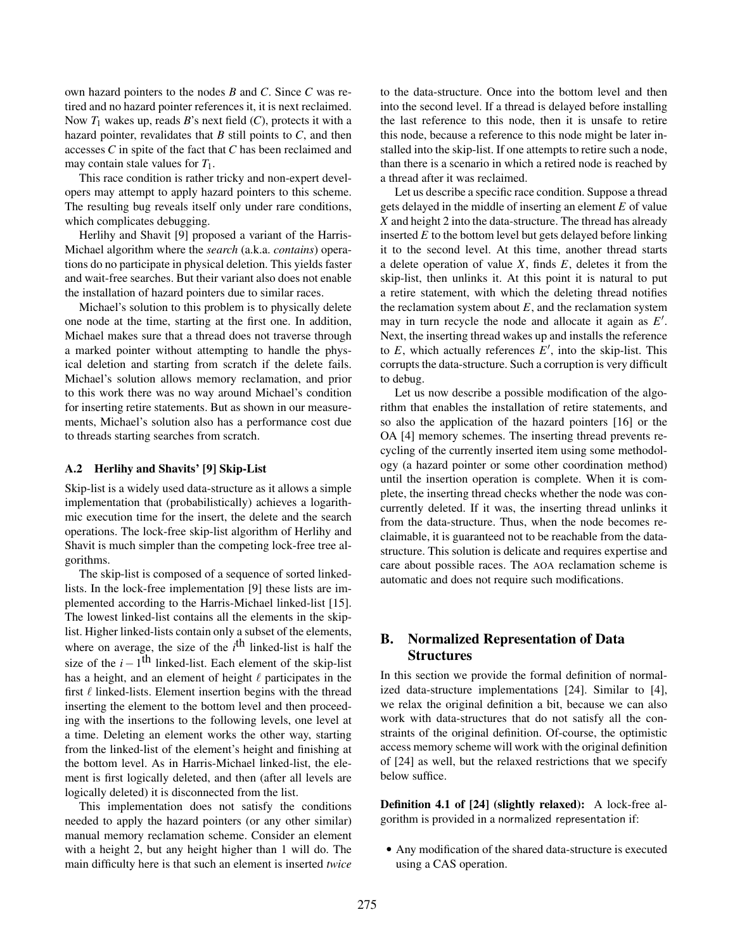own hazard pointers to the nodes *B* and *C*. Since *C* was retired and no hazard pointer references it, it is next reclaimed. Now  $T_1$  wakes up, reads B's next field  $(C)$ , protects it with a hazard pointer, revalidates that *B* still points to *C*, and then accesses *C* in spite of the fact that *C* has been reclaimed and may contain stale values for *T*1.

This race condition is rather tricky and non-expert developers may attempt to apply hazard pointers to this scheme. The resulting bug reveals itself only under rare conditions, which complicates debugging.

Herlihy and Shavit [9] proposed a variant of the Harris-Michael algorithm where the *search* (a.k.a. *contains*) operations do no participate in physical deletion. This yields faster and wait-free searches. But their variant also does not enable the installation of hazard pointers due to similar races.

Michael's solution to this problem is to physically delete one node at the time, starting at the first one. In addition, Michael makes sure that a thread does not traverse through a marked pointer without attempting to handle the physical deletion and starting from scratch if the delete fails. Michael's solution allows memory reclamation, and prior to this work there was no way around Michael's condition for inserting retire statements. But as shown in our measurements, Michael's solution also has a performance cost due to threads starting searches from scratch.

#### A.2 Herlihy and Shavits' [9] Skip-List

Skip-list is a widely used data-structure as it allows a simple implementation that (probabilistically) achieves a logarithmic execution time for the insert, the delete and the search operations. The lock-free skip-list algorithm of Herlihy and Shavit is much simpler than the competing lock-free tree algorithms.

The skip-list is composed of a sequence of sorted linkedlists. In the lock-free implementation [9] these lists are implemented according to the Harris-Michael linked-list [15]. The lowest linked-list contains all the elements in the skiplist. Higher linked-lists contain only a subset of the elements, where on average, the size of the  $i<sup>th</sup>$  linked-list is half the size of the  $i-1$ <sup>th</sup> linked-list. Each element of the skip-list has a height, and an element of height  $\ell$  participates in the first  $\ell$  linked-lists. Element insertion begins with the thread inserting the element to the bottom level and then proceeding with the insertions to the following levels, one level at a time. Deleting an element works the other way, starting from the linked-list of the element's height and finishing at the bottom level. As in Harris-Michael linked-list, the element is first logically deleted, and then (after all levels are logically deleted) it is disconnected from the list.

This implementation does not satisfy the conditions needed to apply the hazard pointers (or any other similar) manual memory reclamation scheme. Consider an element with a height 2, but any height higher than 1 will do. The main difficulty here is that such an element is inserted *twice*

to the data-structure. Once into the bottom level and then into the second level. If a thread is delayed before installing the last reference to this node, then it is unsafe to retire this node, because a reference to this node might be later installed into the skip-list. If one attempts to retire such a node, than there is a scenario in which a retired node is reached by a thread after it was reclaimed.

Let us describe a specific race condition. Suppose a thread gets delayed in the middle of inserting an element *E* of value *X* and height 2 into the data-structure. The thread has already inserted *E* to the bottom level but gets delayed before linking it to the second level. At this time, another thread starts a delete operation of value *X*, finds *E*, deletes it from the skip-list, then unlinks it. At this point it is natural to put a retire statement, with which the deleting thread notifies the reclamation system about  $E$ , and the reclamation system may in turn recycle the node and allocate it again as  $E'$ . Next, the inserting thread wakes up and installs the reference to  $E$ , which actually references  $E'$ , into the skip-list. This corrupts the data-structure. Such a corruption is very difficult to debug.

Let us now describe a possible modification of the algorithm that enables the installation of retire statements, and so also the application of the hazard pointers [16] or the OA [4] memory schemes. The inserting thread prevents recycling of the currently inserted item using some methodology (a hazard pointer or some other coordination method) until the insertion operation is complete. When it is complete, the inserting thread checks whether the node was concurrently deleted. If it was, the inserting thread unlinks it from the data-structure. Thus, when the node becomes reclaimable, it is guaranteed not to be reachable from the datastructure. This solution is delicate and requires expertise and care about possible races. The AOA reclamation scheme is automatic and does not require such modifications.

# B. Normalized Representation of Data **Structures**

In this section we provide the formal definition of normalized data-structure implementations [24]. Similar to [4], we relax the original definition a bit, because we can also work with data-structures that do not satisfy all the constraints of the original definition. Of-course, the optimistic access memory scheme will work with the original definition of [24] as well, but the relaxed restrictions that we specify below suffice.

Definition 4.1 of [24] (slightly relaxed): A lock-free algorithm is provided in a normalized representation if:

*•* Any modification of the shared data-structure is executed using a CAS operation.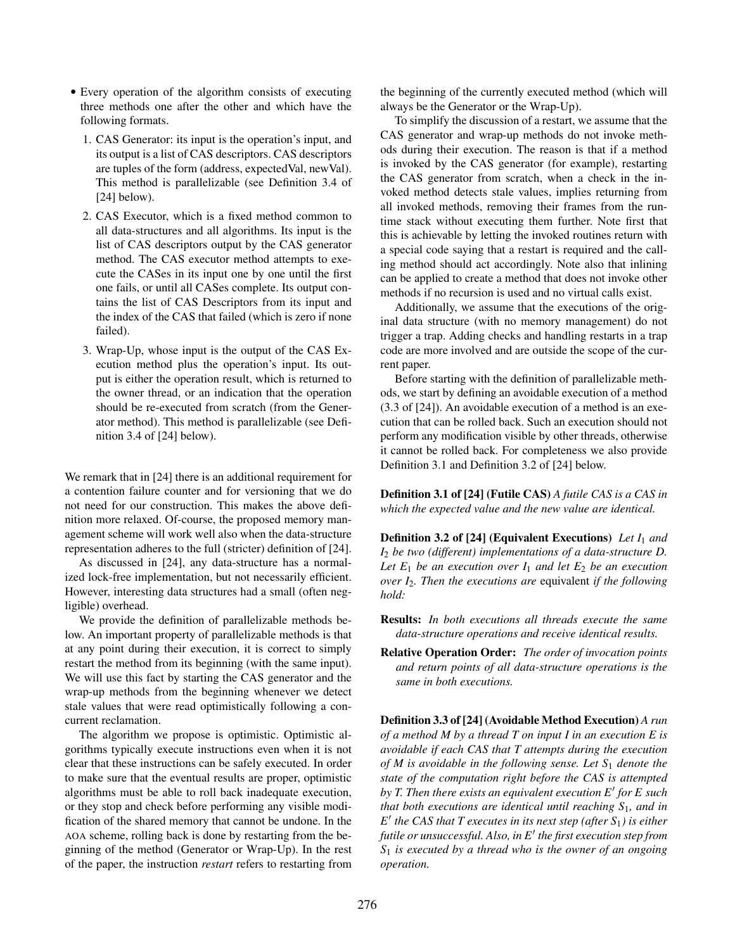- *•* Every operation of the algorithm consists of executing three methods one after the other and which have the following formats.
	- 1. CAS Generator: its input is the operation's input, and its output is a list of CAS descriptors. CAS descriptors are tuples of the form (address, expectedVal, newVal). This method is parallelizable (see Definition 3.4 of [24] below).
	- 2. CAS Executor, which is a fixed method common to all data-structures and all algorithms. Its input is the list of CAS descriptors output by the CAS generator method. The CAS executor method attempts to execute the CASes in its input one by one until the first one fails, or until all CASes complete. Its output contains the list of CAS Descriptors from its input and the index of the CAS that failed (which is zero if none failed).
	- 3. Wrap-Up, whose input is the output of the CAS Execution method plus the operation's input. Its output is either the operation result, which is returned to the owner thread, or an indication that the operation should be re-executed from scratch (from the Generator method). This method is parallelizable (see Definition 3.4 of [24] below).

We remark that in [24] there is an additional requirement for a contention failure counter and for versioning that we do not need for our construction. This makes the above definition more relaxed. Of-course, the proposed memory management scheme will work well also when the data-structure representation adheres to the full (stricter) definition of [24].

As discussed in [24], any data-structure has a normalized lock-free implementation, but not necessarily efficient. However, interesting data structures had a small (often negligible) overhead.

We provide the definition of parallelizable methods below. An important property of parallelizable methods is that at any point during their execution, it is correct to simply restart the method from its beginning (with the same input). We will use this fact by starting the CAS generator and the wrap-up methods from the beginning whenever we detect stale values that were read optimistically following a concurrent reclamation.

The algorithm we propose is optimistic. Optimistic algorithms typically execute instructions even when it is not clear that these instructions can be safely executed. In order to make sure that the eventual results are proper, optimistic algorithms must be able to roll back inadequate execution, or they stop and check before performing any visible modification of the shared memory that cannot be undone. In the AOA scheme, rolling back is done by restarting from the beginning of the method (Generator or Wrap-Up). In the rest of the paper, the instruction *restart* refers to restarting from the beginning of the currently executed method (which will always be the Generator or the Wrap-Up).

To simplify the discussion of a restart, we assume that the CAS generator and wrap-up methods do not invoke methods during their execution. The reason is that if a method is invoked by the CAS generator (for example), restarting the CAS generator from scratch, when a check in the invoked method detects stale values, implies returning from all invoked methods, removing their frames from the runtime stack without executing them further. Note first that this is achievable by letting the invoked routines return with a special code saying that a restart is required and the calling method should act accordingly. Note also that inlining can be applied to create a method that does not invoke other methods if no recursion is used and no virtual calls exist.

Additionally, we assume that the executions of the original data structure (with no memory management) do not trigger a trap. Adding checks and handling restarts in a trap code are more involved and are outside the scope of the current paper.

Before starting with the definition of parallelizable methods, we start by defining an avoidable execution of a method (3.3 of [24]). An avoidable execution of a method is an execution that can be rolled back. Such an execution should not perform any modification visible by other threads, otherwise it cannot be rolled back. For completeness we also provide Definition 3.1 and Definition 3.2 of [24] below.

Definition 3.1 of [24] (Futile CAS) *A futile CAS is a CAS in which the expected value and the new value are identical.*

Definition 3.2 of [24] (Equivalent Executions) *Let I*<sup>1</sup> *and I*<sup>2</sup> *be two (different) implementations of a data-structure D.* Let  $E_1$  *be an execution over*  $I_1$  *and let*  $E_2$  *be an execution over I*2*. Then the executions are* equivalent *if the following hold:*

- Results: *In both executions all threads execute the same data-structure operations and receive identical results.*
- Relative Operation Order: *The order of invocation points and return points of all data-structure operations is the same in both executions.*

Definition 3.3 of [24] (Avoidable Method Execution) *A run of a method M by a thread T on input I in an execution E is avoidable if each CAS that T attempts during the execution of M is avoidable in the following sense. Let S*<sup>1</sup> *denote the state of the computation right before the CAS is attempted by T. Then there exists an equivalent execution E' for E such that both executions are identical until reaching S*1*, and in*  $E'$  *the CAS that T executes in its next step (after S<sub>1</sub>) is either futile or unsuccessful. Also, in E*0 *the first execution step from S*<sup>1</sup> *is executed by a thread who is the owner of an ongoing operation.*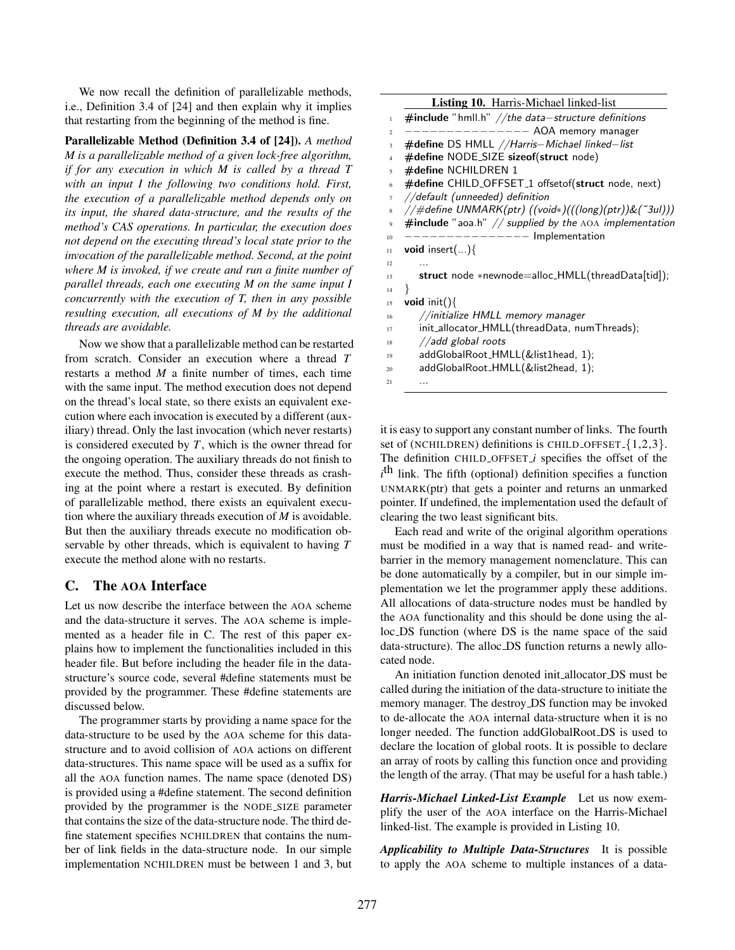We now recall the definition of parallelizable methods, i.e., Definition 3.4 of [24] and then explain why it implies that restarting from the beginning of the method is fine.

Parallelizable Method (Definition 3.4 of [24]). *A method M is a parallelizable method of a given lock-free algorithm, if for any execution in which M is called by a thread T with an input I the following two conditions hold. First, the execution of a parallelizable method depends only on its input, the shared data-structure, and the results of the method's CAS operations. In particular, the execution does not depend on the executing thread's local state prior to the invocation of the parallelizable method. Second, at the point where M is invoked, if we create and run a finite number of parallel threads, each one executing M on the same input I concurrently with the execution of T, then in any possible resulting execution, all executions of M by the additional threads are avoidable.*

Now we show that a parallelizable method can be restarted from scratch. Consider an execution where a thread *T* restarts a method *M* a finite number of times, each time with the same input. The method execution does not depend on the thread's local state, so there exists an equivalent execution where each invocation is executed by a different (auxiliary) thread. Only the last invocation (which never restarts) is considered executed by *T*, which is the owner thread for the ongoing operation. The auxiliary threads do not finish to execute the method. Thus, consider these threads as crashing at the point where a restart is executed. By definition of parallelizable method, there exists an equivalent execution where the auxiliary threads execution of *M* is avoidable. But then the auxiliary threads execute no modification observable by other threads, which is equivalent to having *T* execute the method alone with no restarts.

# C. The AOA Interface

Let us now describe the interface between the AOA scheme and the data-structure it serves. The AOA scheme is implemented as a header file in C. The rest of this paper explains how to implement the functionalities included in this header file. But before including the header file in the datastructure's source code, several #define statements must be provided by the programmer. These #define statements are discussed below.

The programmer starts by providing a name space for the data-structure to be used by the AOA scheme for this datastructure and to avoid collision of AOA actions on different data-structures. This name space will be used as a suffix for all the AOA function names. The name space (denoted DS) is provided using a #define statement. The second definition provided by the programmer is the NODE SIZE parameter that contains the size of the data-structure node. The third define statement specifies NCHILDREN that contains the number of link fields in the data-structure node. In our simple implementation NCHILDREN must be between 1 and 3, but

|                | <b>Listing 10.</b> Harris-Michael linked-list              |
|----------------|------------------------------------------------------------|
| $\mathbf{1}$   | $\#$ include "hmll.h" //the data-structure definitions     |
| $\overline{c}$ | $---$ AOA memory manager                                   |
| 3              | #define DS HMLL //Harris-Michael linked-list               |
| $\overline{4}$ | #define NODE_SIZE sizeof(struct node)                      |
| $\overline{5}$ | #define NCHILDREN 1                                        |
| 6              | #define CHILD_OFFSET_1 offsetof(struct node, next)         |
| $\tau$         | //default (unneeded) definition                            |
| 8              | //#define UNMARK(ptr) ((void*)(((long)(ptr))&(~3ul)))      |
| $\mathbf{Q}$   | $\#$ include "aoa.h" // supplied by the AOA implementation |
| 10             | $------$ Implementation                                    |
| 11             | <b>void</b> insert $()$                                    |
| 12             |                                                            |
| 13             | struct node *newnode=alloc_HMLL(threadData[tid]);          |
| 14             | ł                                                          |
| 15             | void $init()$                                              |
| 16             | //initialize HMLL memory manager                           |
| 17             | init_allocator_HMLL(threadData, numThreads);               |
| 18             | //add global roots                                         |
| 19             | addGlobalRoot_HMLL(&list1head, 1);                         |
| 20             | addGlobalRoot_HMLL(&list2head, 1);                         |
| 21             | .                                                          |

it is easy to support any constant number of links. The fourth set of (NCHILDREN) definitions is CHILD OFFSET *{*1,2,3*}*. The definition CHILD OFFSET *i* specifies the offset of the *i*<sup>th</sup> link. The fifth (optional) definition specifies a function UNMARK(ptr) that gets a pointer and returns an unmarked pointer. If undefined, the implementation used the default of clearing the two least significant bits.

Each read and write of the original algorithm operations must be modified in a way that is named read- and writebarrier in the memory management nomenclature. This can be done automatically by a compiler, but in our simple implementation we let the programmer apply these additions. All allocations of data-structure nodes must be handled by the AOA functionality and this should be done using the alloc DS function (where DS is the name space of the said data-structure). The alloc DS function returns a newly allocated node.

An initiation function denoted init allocator DS must be called during the initiation of the data-structure to initiate the memory manager. The destroy DS function may be invoked to de-allocate the AOA internal data-structure when it is no longer needed. The function addGlobalRoot DS is used to declare the location of global roots. It is possible to declare an array of roots by calling this function once and providing the length of the array. (That may be useful for a hash table.)

*Harris-Michael Linked-List Example* Let us now exemplify the user of the AOA interface on the Harris-Michael linked-list. The example is provided in Listing 10.

*Applicability to Multiple Data-Structures* It is possible to apply the AOA scheme to multiple instances of a data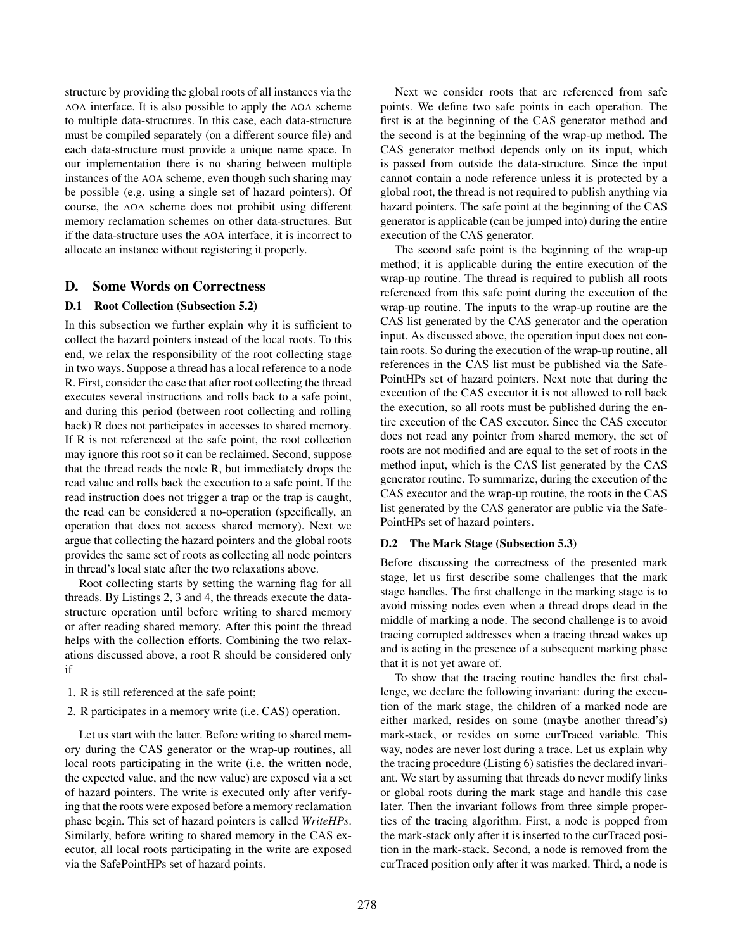structure by providing the global roots of all instances via the AOA interface. It is also possible to apply the AOA scheme to multiple data-structures. In this case, each data-structure must be compiled separately (on a different source file) and each data-structure must provide a unique name space. In our implementation there is no sharing between multiple instances of the AOA scheme, even though such sharing may be possible (e.g. using a single set of hazard pointers). Of course, the AOA scheme does not prohibit using different memory reclamation schemes on other data-structures. But if the data-structure uses the AOA interface, it is incorrect to allocate an instance without registering it properly.

## D. Some Words on Correctness

#### D.1 Root Collection (Subsection 5.2)

In this subsection we further explain why it is sufficient to collect the hazard pointers instead of the local roots. To this end, we relax the responsibility of the root collecting stage in two ways. Suppose a thread has a local reference to a node R. First, consider the case that after root collecting the thread executes several instructions and rolls back to a safe point, and during this period (between root collecting and rolling back) R does not participates in accesses to shared memory. If R is not referenced at the safe point, the root collection may ignore this root so it can be reclaimed. Second, suppose that the thread reads the node R, but immediately drops the read value and rolls back the execution to a safe point. If the read instruction does not trigger a trap or the trap is caught, the read can be considered a no-operation (specifically, an operation that does not access shared memory). Next we argue that collecting the hazard pointers and the global roots provides the same set of roots as collecting all node pointers in thread's local state after the two relaxations above.

Root collecting starts by setting the warning flag for all threads. By Listings 2, 3 and 4, the threads execute the datastructure operation until before writing to shared memory or after reading shared memory. After this point the thread helps with the collection efforts. Combining the two relaxations discussed above, a root R should be considered only if

- 1. R is still referenced at the safe point;
- 2. R participates in a memory write (i.e. CAS) operation.

Let us start with the latter. Before writing to shared memory during the CAS generator or the wrap-up routines, all local roots participating in the write (i.e. the written node, the expected value, and the new value) are exposed via a set of hazard pointers. The write is executed only after verifying that the roots were exposed before a memory reclamation phase begin. This set of hazard pointers is called *WriteHPs*. Similarly, before writing to shared memory in the CAS executor, all local roots participating in the write are exposed via the SafePointHPs set of hazard points.

Next we consider roots that are referenced from safe points. We define two safe points in each operation. The first is at the beginning of the CAS generator method and the second is at the beginning of the wrap-up method. The CAS generator method depends only on its input, which is passed from outside the data-structure. Since the input cannot contain a node reference unless it is protected by a global root, the thread is not required to publish anything via hazard pointers. The safe point at the beginning of the CAS generator is applicable (can be jumped into) during the entire execution of the CAS generator.

The second safe point is the beginning of the wrap-up method; it is applicable during the entire execution of the wrap-up routine. The thread is required to publish all roots referenced from this safe point during the execution of the wrap-up routine. The inputs to the wrap-up routine are the CAS list generated by the CAS generator and the operation input. As discussed above, the operation input does not contain roots. So during the execution of the wrap-up routine, all references in the CAS list must be published via the Safe-PointHPs set of hazard pointers. Next note that during the execution of the CAS executor it is not allowed to roll back the execution, so all roots must be published during the entire execution of the CAS executor. Since the CAS executor does not read any pointer from shared memory, the set of roots are not modified and are equal to the set of roots in the method input, which is the CAS list generated by the CAS generator routine. To summarize, during the execution of the CAS executor and the wrap-up routine, the roots in the CAS list generated by the CAS generator are public via the Safe-PointHPs set of hazard pointers.

#### D.2 The Mark Stage (Subsection 5.3)

Before discussing the correctness of the presented mark stage, let us first describe some challenges that the mark stage handles. The first challenge in the marking stage is to avoid missing nodes even when a thread drops dead in the middle of marking a node. The second challenge is to avoid tracing corrupted addresses when a tracing thread wakes up and is acting in the presence of a subsequent marking phase that it is not yet aware of.

To show that the tracing routine handles the first challenge, we declare the following invariant: during the execution of the mark stage, the children of a marked node are either marked, resides on some (maybe another thread's) mark-stack, or resides on some curTraced variable. This way, nodes are never lost during a trace. Let us explain why the tracing procedure (Listing 6) satisfies the declared invariant. We start by assuming that threads do never modify links or global roots during the mark stage and handle this case later. Then the invariant follows from three simple properties of the tracing algorithm. First, a node is popped from the mark-stack only after it is inserted to the curTraced position in the mark-stack. Second, a node is removed from the curTraced position only after it was marked. Third, a node is